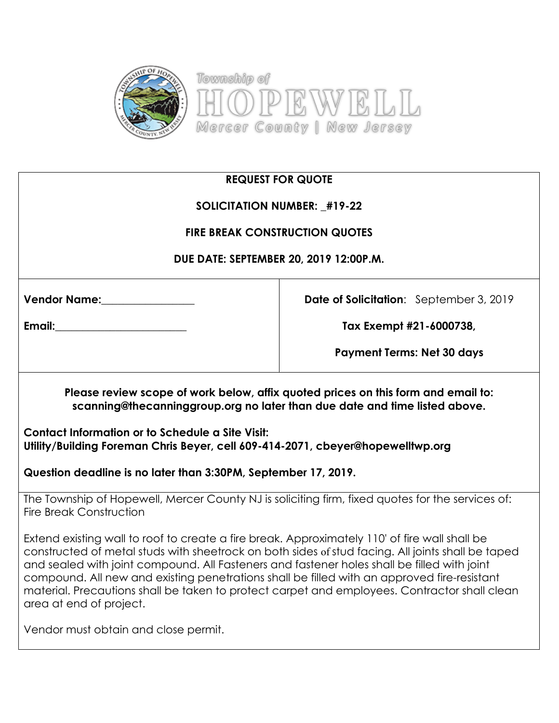

#### **REQUEST FOR QUOTE**

#### **SOLICITATION NUMBER: \_#19-22**

#### **FIRE BREAK CONSTRUCTION QUOTES**

**DUE DATE: SEPTEMBER 20, 2019 12:00P.M.**

**Vendor Name:\_\_\_\_\_\_\_\_\_\_\_\_\_\_\_\_\_**

**Date of Solicitation**: September 3, 2019

**Email:\_\_\_\_\_\_\_\_\_\_\_\_\_\_\_\_\_\_\_\_\_\_\_\_**

**Tax Exempt #21-6000738,** 

**Payment Terms: Net 30 days**

**Please review scope of work below, affix quoted prices on this form and email to: scanning@thecanninggroup.org no later than due date and time listed above.**

**Contact Information or to Schedule a Site Visit: Utility/Building Foreman Chris Beyer, cell 609-414-2071, cbeyer@hopewelltwp.org**

**Question deadline is no later than 3:30PM, September 17, 2019.**

The Township of Hopewell, Mercer County NJ is soliciting firm, fixed quotes for the services of: Fire Break Construction

Extend existing wall to roof to create a fire break. Approximately 110' of fire wall shall be constructed of metal studs with sheetrock on both sides of stud facing. All joints shall be taped and sealed with joint compound. All Fasteners and fastener holes shall be filled with joint compound. All new and existing penetrations shall be filled with an approved fire-resistant material. Precautions shall be taken to protect carpet and employees. Contractor shall clean area at end of project.

Vendor must obtain and close permit.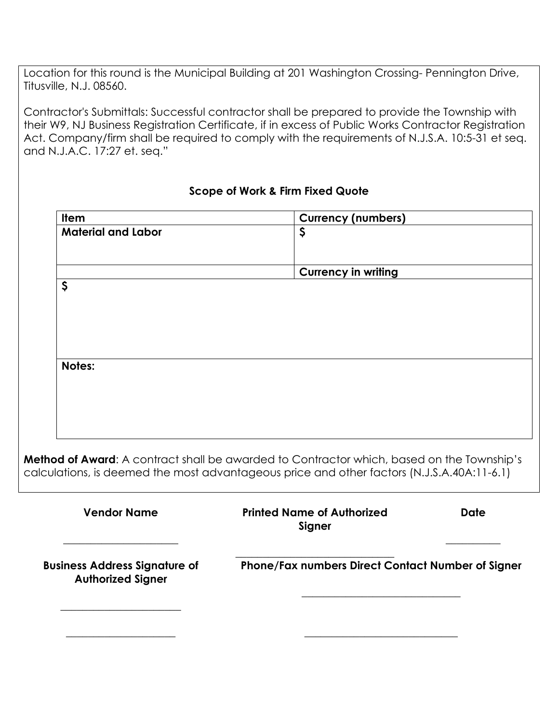Location for this round is the Municipal Building at 201 Washington Crossing- Pennington Drive, Titusville, N.J. 08560.

Contractor's Submittals: Successful contractor shall be prepared to provide the Township with their W9, NJ Business Registration Certificate, if in excess of Public Works Contractor Registration Act. Company/firm shall be required to comply with the requirements of N.J.S.A. 10:5-31 et seq. and N.J.A.C. 17:27 et. seq."

#### **Scope of Work & Firm Fixed Quote**

| <b>Item</b>               | <b>Currency (numbers)</b>                                                                                                                                                               |             |
|---------------------------|-----------------------------------------------------------------------------------------------------------------------------------------------------------------------------------------|-------------|
| <b>Material and Labor</b> | \$                                                                                                                                                                                      |             |
|                           | <b>Currency in writing</b>                                                                                                                                                              |             |
| $\boldsymbol{\mathsf{S}}$ |                                                                                                                                                                                         |             |
|                           |                                                                                                                                                                                         |             |
| Notes:                    |                                                                                                                                                                                         |             |
|                           |                                                                                                                                                                                         |             |
|                           |                                                                                                                                                                                         |             |
|                           |                                                                                                                                                                                         |             |
|                           |                                                                                                                                                                                         |             |
|                           | Method of Award: A contract shall be awarded to Contractor which, based on the Township's<br>calculations, is deemed the most advantageous price and other factors (N.J.S.A.40A:11-6.1) |             |
| <b>Vendor Name</b>        | <b>Printed Name of Authorized</b><br>Signer                                                                                                                                             | <b>Date</b> |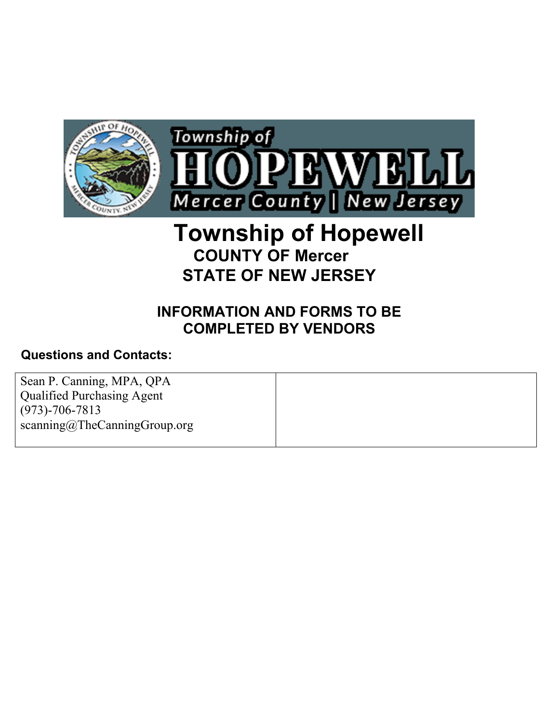

## **Township of Hopewell COUNTY OF Mercer STATE OF NEW JERSEY**

#### **INFORMATION AND FORMS TO BE COMPLETED BY VENDORS**

#### **Questions and Contacts:**

| Sean P. Canning, MPA, QPA         |  |
|-----------------------------------|--|
| <b>Qualified Purchasing Agent</b> |  |
| $(973)$ -706-7813                 |  |
| scanning@TheCanningGroup.org      |  |
|                                   |  |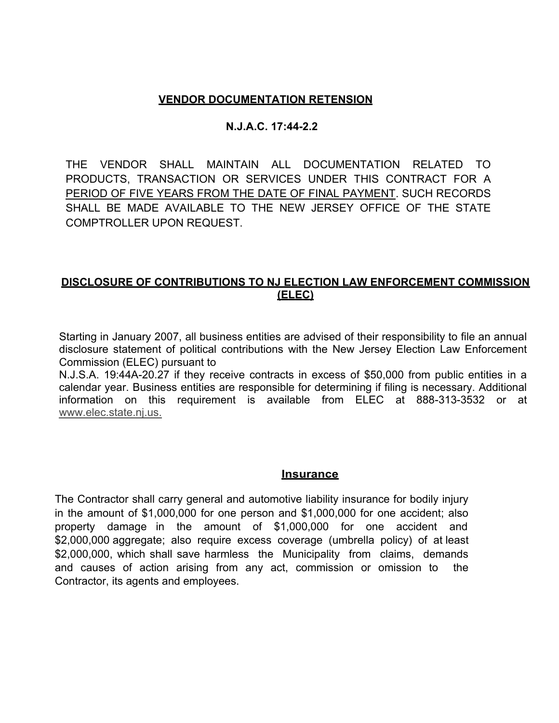#### **VENDOR DOCUMENTATION RETENSION**

#### N.J.A.C. 17:44-2.2

THE VENDOR SHALL MAINTAIN ALL DOCUMENTATION RELATED TO PRODUCTS, TRANSACTION OR SERVICES UNDER THIS CONTRACT FOR A PERIOD OF FIVE YEARS FROM THE DATE OF FINAL PAYMENT. SUCH RECORDS SHALL BE MADE AVAILABLE TO THE NEW JERSEY OFFICE OF THE STATE COMPTROLLER UPON REQUEST.

#### DISCLOSURE OF CONTRIBUTIONS TO NJ ELECTION LAW ENFORCEMENT COMMISSION (ELEC)

Starting in January 2007, all business entities are advised of their responsibility to file an annual disclosure statement of political contributions with the New Jersey Election Law Enforcement Commission (ELEC) pursuant to

N.J.S.A. 19:44A-20.27 if they receive contracts in excess of \$50,000 from public entities in a calendar year. Business entities are responsible for determining if filing is necessary. Additional information on this requirement is available from ELEC at 888-313-3532 or at www.elec.state.ni.us.

#### **Insurance**

The Contractor shall carry general and automotive liability insurance for bodily injury in the amount of \$1,000,000 for one person and \$1,000,000 for one accident; also property damage in the amount of \$1,000,000 for one accident and \$2,000,000 aggregate; also require excess coverage (umbrella policy) of at least \$2,000,000, which shall save harmless the Municipality from claims, demands and causes of action arising from any act, commission or omission to the Contractor, its agents and employees.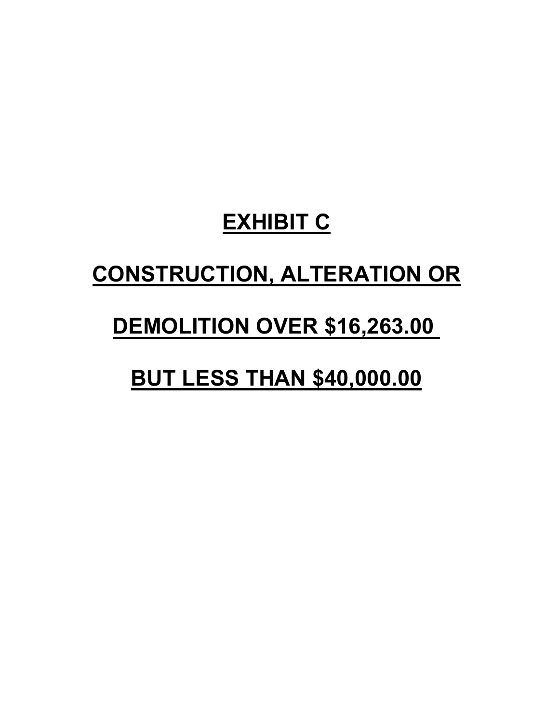# **EXHIBIT C**

# **CONSTRUCTION, ALTERATION OR**

# **DEMOLITION OVER \$16,263.00**

# **BUT LESS THAN \$40,000.00**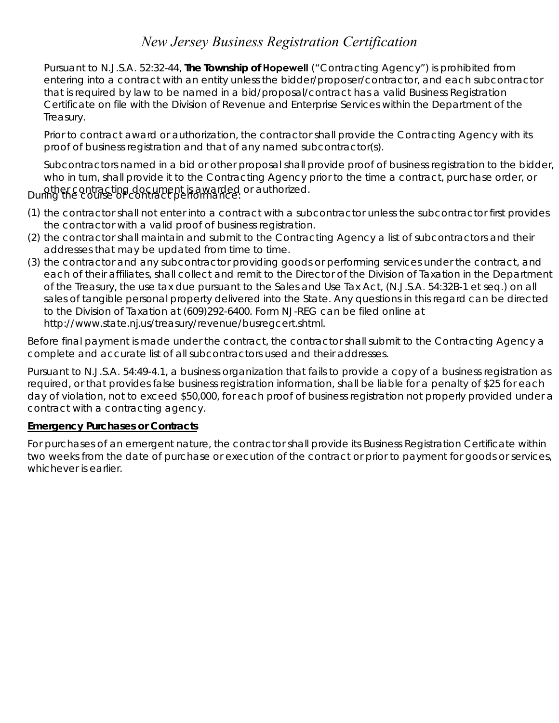#### *New Jersey Business Registration Certification*

Pursuant to N.J.S.A. 52:32-44, **The Township of Hopewell** ("Contracting Agency") is prohibited from entering into a contract with an entity unless the bidder/proposer/contractor, and each subcontractor that is required by law to be named in a bid/proposal/contract has a valid Business Registration Certificate on file with the Division of Revenue and Enterprise Services within the Department of the Treasury.

Prior to contract award or authorization, the contractor shall provide the Contracting Agency with its proof of business registration and that of any named subcontractor(s).

Subcontractors named in a bid or other proposal shall provide proof of business registration to the bidder, who in turn, shall provide it to the Contracting Agency prior to the time a contract, purchase order, or other contracting document is awarded or authorized. During the course of contract performance:

- (1) the contractor shall not enter into a contract with a subcontractor unless the subcontractor first provides the contractor with a valid proof of business registration.
- (2) the contractor shall maintain and submit to the Contracting Agency a list of subcontractors and their addresses that may be updated from time to time.
- (3) the contractor and any subcontractor providing goods or performing services under the contract, and each of their affiliates, shall collect and remit to the Director of the Division of Taxation in the Department of the Treasury, the use tax due pursuant to the Sales and Use Tax Act, (N.J.S.A. 54:32B-1 et seq.) on all sales of tangible personal property delivered into the State. Any questions in this regard can be directed to the Division of Taxation at (609)292-6400. Form NJ-REG can be filed online at http://www.state.nj.us/treasury/revenue/busregcert.shtml.

Before final payment is made under the contract, the contractor shall submit to the Contracting Agency a complete and accurate list of all subcontractors used and their addresses.

Pursuant to N.J.S.A. 54:49-4.1, a business organization that fails to provide a copy of a business registration as required, or that provides false business registration information, shall be liable for a penalty of \$25 for each day of violation, not to exceed \$50,000, for each proof of business registration not properly provided under a contract with a contracting agency.

#### **Emergency Purchases or Contracts**

For purchases of an emergent nature, the contractor shall provide its Business Registration Certificate within two weeks from the date of purchase or execution of the contract or prior to payment for goods or services, whichever is earlier.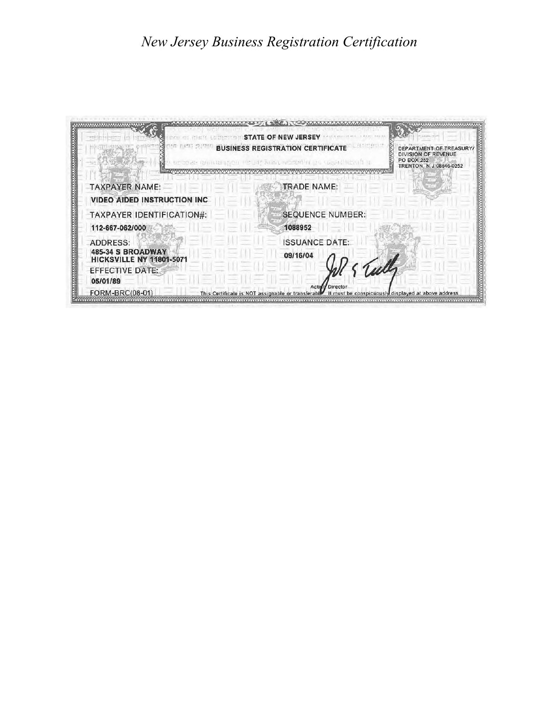## New Jersey Business Registration Certification

|                                                                                | <b>STATE OF NEW JERSEY</b>                                                                                                                                                 |
|--------------------------------------------------------------------------------|----------------------------------------------------------------------------------------------------------------------------------------------------------------------------|
|                                                                                | <b>BUSINESS REGISTRATION CERTIFICATE</b><br>DEPARTMENT OF TREASURY<br>DIVISION OF REVENUE<br><b>PO BOX 252</b><br>AUGUST STATISTICS CONSULTING<br>TRENTON, N.J. 08646-0252 |
| <b>TAXPAYER NAME:</b><br><b>VIDEO AIDED INSTRUCTION INC.</b>                   | <b>TRADE NAME:</b>                                                                                                                                                         |
| TAXPAYER IDENTIFICATION#:<br>112-667-062/000                                   | <b>SEQUENCE NUMBER:</b><br>1088952                                                                                                                                         |
| <b>ADDRESS:</b><br><b>485-34 S BROADWAY</b><br><b>HICKSVILLE NY 11801-5071</b> | <b>ISSUANCE DATE:</b><br>09/16/04                                                                                                                                          |
| <b>EFFECTIVE DATE:</b><br>05/01/89<br>FORM-BRC(08-01)                          | Director<br>This Certificate is NOT assignable or transferabl<br>It must be conspicuously displayed at above address                                                       |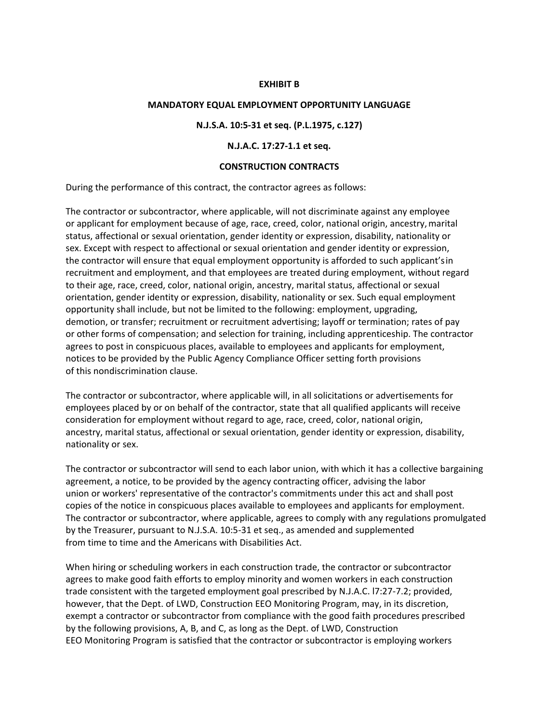#### **EXHIBIT B**

#### **MANDATORY EQUAL EMPLOYMENT OPPORTUNITY LANGUAGE**

**N.J.S.A. 10:5-31 et seq. (P.L.1975, c.127)** 

#### **N.J.A.C. 17:27-1.1 et seq.**

#### **CONSTRUCTION CONTRACTS**

During the performance of this contract, the contractor agrees as follows:

The contractor or subcontractor, where applicable, will not discriminate against any employee or applicant for employment because of age, race, creed, color, national origin, ancestry, marital status, affectional or sexual orientation, gender identity or expression, disability, nationality or sex. Except with respect to affectional or sexual orientation and gender identity or expression, the contractor will ensure that equal employment opportunity is afforded to such applicant's in recruitment and employment, and that employees are treated during employment, without regard to their age, race, creed, color, national origin, ancestry, marital status, affectional or sexual orientation, gender identity or expression, disability, nationality or sex. Such equal employment opportunity shall include, but not be limited to the following: employment, upgrading, demotion, or transfer; recruitment or recruitment advertising; layoff or termination; rates of pay or other forms of compensation; and selection for training, including apprenticeship. The contractor agrees to post in conspicuous places, available to employees and applicants for employment, notices to be provided by the Public Agency Compliance Officer setting forth provisions of this nondiscrimination clause.

The contractor or subcontractor, where applicable will, in all solicitations or advertisements for employees placed by or on behalf of the contractor, state that all qualified applicants will receive consideration for employment without regard to age, race, creed, color, national origin, ancestry, marital status, affectional or sexual orientation, gender identity or expression, disability, nationality or sex.

The contractor or subcontractor will send to each labor union, with which it has a collective bargaining agreement, a notice, to be provided by the agency contracting officer, advising the labor union or workers' representative of the contractor's commitments under this act and shall post copies of the notice in conspicuous places available to employees and applicants for employment. The contractor or subcontractor, where applicable, agrees to comply with any regulations promulgated by the Treasurer, pursuant to N.J.S.A. 10:5-31 et seq., as amended and supplemented from time to time and the Americans with Disabilities Act.

When hiring or scheduling workers in each construction trade, the contractor or subcontractor agrees to make good faith efforts to employ minority and women workers in each construction trade consistent with the targeted employment goal prescribed by N.J.A.C. l7:27-7.2; provided, however, that the Dept. of LWD, Construction EEO Monitoring Program, may, in its discretion, exempt a contractor or subcontractor from compliance with the good faith procedures prescribed by the following provisions, A, B, and C, as long as the Dept. of LWD, Construction EEO Monitoring Program is satisfied that the contractor or subcontractor is employing workers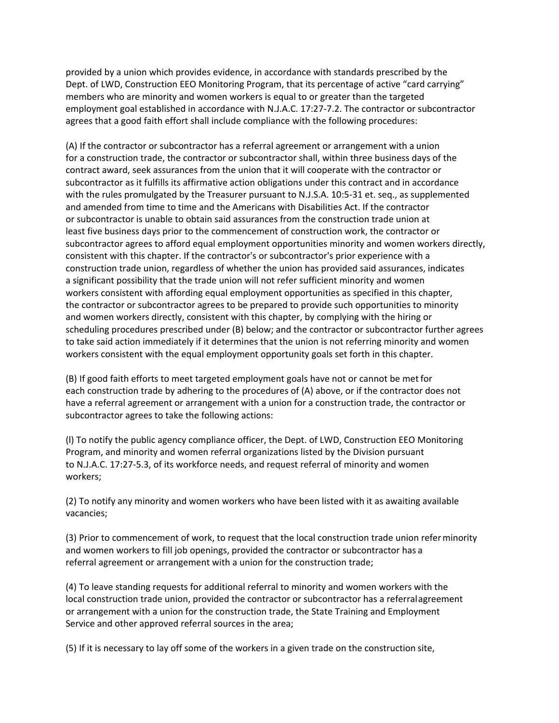provided by a union which provides evidence, in accordance with standards prescribed by the Dept. of LWD, Construction EEO Monitoring Program, that its percentage of active "card carrying" members who are minority and women workers is equal to or greater than the targeted employment goal established in accordance with N.J.A.C. 17:27-7.2. The contractor or subcontractor agrees that a good faith effort shall include compliance with the following procedures:

(A) If the contractor or subcontractor has a referral agreement or arrangement with a union for a construction trade, the contractor or subcontractor shall, within three business days of the contract award, seek assurances from the union that it will cooperate with the contractor or subcontractor as it fulfills its affirmative action obligations under this contract and in accordance with the rules promulgated by the Treasurer pursuant to N.J.S.A. 10:5-31 et. seq., as supplemented and amended from time to time and the Americans with Disabilities Act. If the contractor or subcontractor is unable to obtain said assurances from the construction trade union at least five business days prior to the commencement of construction work, the contractor or subcontractor agrees to afford equal employment opportunities minority and women workers directly, consistent with this chapter. If the contractor's or subcontractor's prior experience with a construction trade union, regardless of whether the union has provided said assurances, indicates a significant possibility that the trade union will not refer sufficient minority and women workers consistent with affording equal employment opportunities as specified in this chapter, the contractor or subcontractor agrees to be prepared to provide such opportunities to minority and women workers directly, consistent with this chapter, by complying with the hiring or scheduling procedures prescribed under (B) below; and the contractor or subcontractor further agrees to take said action immediately if it determines that the union is not referring minority and women workers consistent with the equal employment opportunity goals set forth in this chapter.

(B) If good faith efforts to meet targeted employment goals have not or cannot be met for each construction trade by adhering to the procedures of (A) above, or if the contractor does not have a referral agreement or arrangement with a union for a construction trade, the contractor or subcontractor agrees to take the following actions:

(l) To notify the public agency compliance officer, the Dept. of LWD, Construction EEO Monitoring Program, and minority and women referral organizations listed by the Division pursuant to N.J.A.C. 17:27-5.3, of its workforce needs, and request referral of minority and women workers;

(2) To notify any minority and women workers who have been listed with it as awaiting available vacancies;

(3) Prior to commencement of work, to request that the local construction trade union refer minority and women workers to fill job openings, provided the contractor or subcontractor has a referral agreement or arrangement with a union for the construction trade;

(4) To leave standing requests for additional referral to minority and women workers with the local construction trade union, provided the contractor or subcontractor has a referral agreement or arrangement with a union for the construction trade, the State Training and Employment Service and other approved referral sources in the area;

(5) If it is necessary to lay off some of the workers in a given trade on the construction site,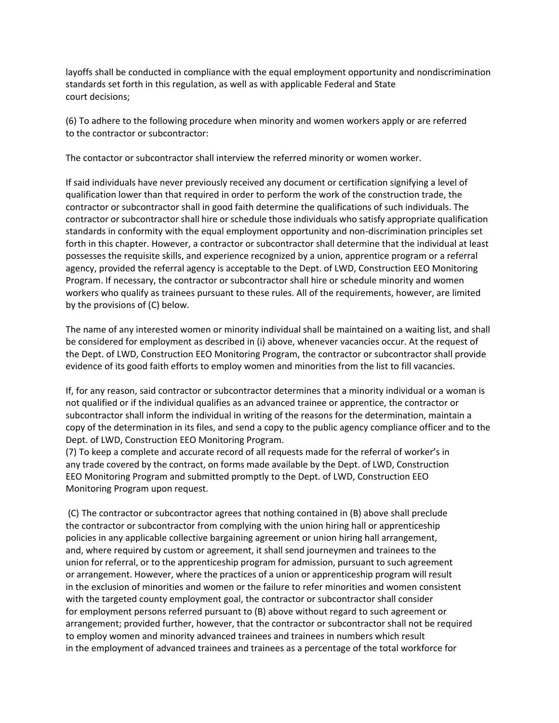layoffs shall be conducted in compliance with the equal employment opportunity and nondiscrimination standards set forth in this regulation, as well as with applicable Federal and State court decisions;

(6) To adhere to the following procedure when minority and women workers apply or are referred to the contractor or subcontractor:

The contactor or subcontractor shall interview the referred minority or women worker.

If said individuals have never previously received any document or certification signifying a level of qualification lower than that required in order to perform the work of the construction trade, the contractor or subcontractor shall in good faith determine the qualifications of such individuals. The contractor or subcontractor shall hire or schedule those individuals who satisfy appropriate qualification standards in conformity with the equal employment opportunity and non-discrimination principles set forth in this chapter. However, a contractor or subcontractor shall determine that the individual at least possesses the requisite skills, and experience recognized by a union, apprentice program or a referral agency, provided the referral agency is acceptable to the Dept. of LWD, Construction EEO Monitoring Program. If necessary, the contractor or subcontractor shall hire or schedule minority and women workers who qualify as trainees pursuant to these rules. All of the requirements, however, are limited by the provisions of (C) below.

The name of any interested women or minority individual shall be maintained on a waiting list, and shall be considered for employment as described in (i) above, whenever vacancies occur. At the request of the Dept. of LWD, Construction EEO Monitoring Program, the contractor or subcontractor shall provide evidence of its good faith efforts to employ women and minorities from the list to fill vacancies.

If, for any reason, said contractor or subcontractor determines that a minority individual or a woman is not qualified or if the individual qualifies as an advanced trainee or apprentice, the contractor or subcontractor shall inform the individual in writing of the reasons for the determination, maintain a copy of the determination in its files, and send a copy to the public agency compliance officer and to the Dept. of LWD, Construction EEO Monitoring Program.

(7) To keep a complete and accurate record of all requests made for the referral of worker's in any trade covered by the contract, on forms made available by the Dept. of LWD, Construction EEO Monitoring Program and submitted promptly to the Dept. of LWD, Construction EEO Monitoring Program upon request.

(C) The contractor or subcontractor agrees that nothing contained in (B) above shall preclude the contractor or subcontractor from complying with the union hiring hall or apprenticeship policies in any applicable collective bargaining agreement or union hiring hall arrangement, and, where required by custom or agreement, it shall send journeymen and trainees to the union for referral, or to the apprenticeship program for admission, pursuant to such agreement or arrangement. However, where the practices of a union or apprenticeship program will result in the exclusion of minorities and women or the failure to refer minorities and women consistent with the targeted county employment goal, the contractor or subcontractor shall consider for employment persons referred pursuant to (B) above without regard to such agreement or arrangement; provided further, however, that the contractor or subcontractor shall not be required to employ women and minority advanced trainees and trainees in numbers which result in the employment of advanced trainees and trainees as a percentage of the total workforce for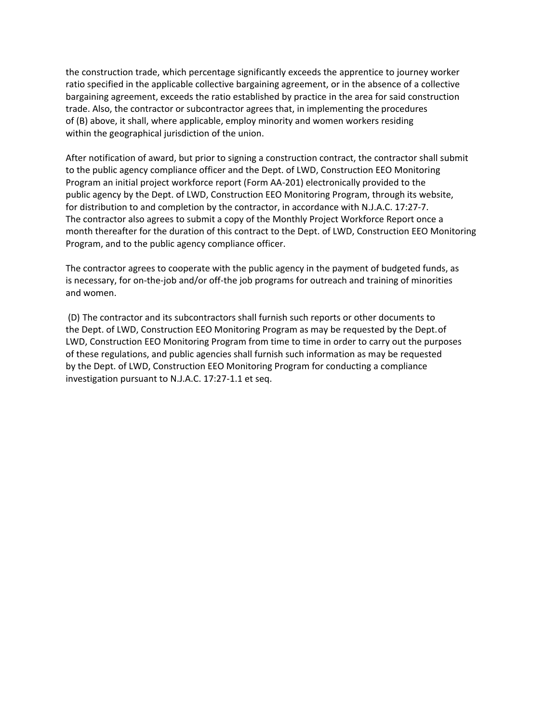the construction trade, which percentage significantly exceeds the apprentice to journey worker ratio specified in the applicable collective bargaining agreement, or in the absence of a collective bargaining agreement, exceeds the ratio established by practice in the area for said construction trade. Also, the contractor or subcontractor agrees that, in implementing the procedures of (B) above, it shall, where applicable, employ minority and women workers residing within the geographical jurisdiction of the union.

After notification of award, but prior to signing a construction contract, the contractor shall submit to the public agency compliance officer and the Dept. of LWD, Construction EEO Monitoring Program an initial project workforce report (Form AA-201) electronically provided to the public agency by the Dept. of LWD, Construction EEO Monitoring Program, through its website, for distribution to and completion by the contractor, in accordance with N.J.A.C. 17:27-7. The contractor also agrees to submit a copy of the Monthly Project Workforce Report once a month thereafter for the duration of this contract to the Dept. of LWD, Construction EEO Monitoring Program, and to the public agency compliance officer.

The contractor agrees to cooperate with the public agency in the payment of budgeted funds, as is necessary, for on-the-job and/or off-the job programs for outreach and training of minorities and women.

(D) The contractor and its subcontractors shall furnish such reports or other documents to the Dept. of LWD, Construction EEO Monitoring Program as may be requested by the Dept. of LWD, Construction EEO Monitoring Program from time to time in order to carry out the purposes of these regulations, and public agencies shall furnish such information as may be requested by the Dept. of LWD, Construction EEO Monitoring Program for conducting a compliance investigation pursuant to N.J.A.C. 17:27-1.1 et seq.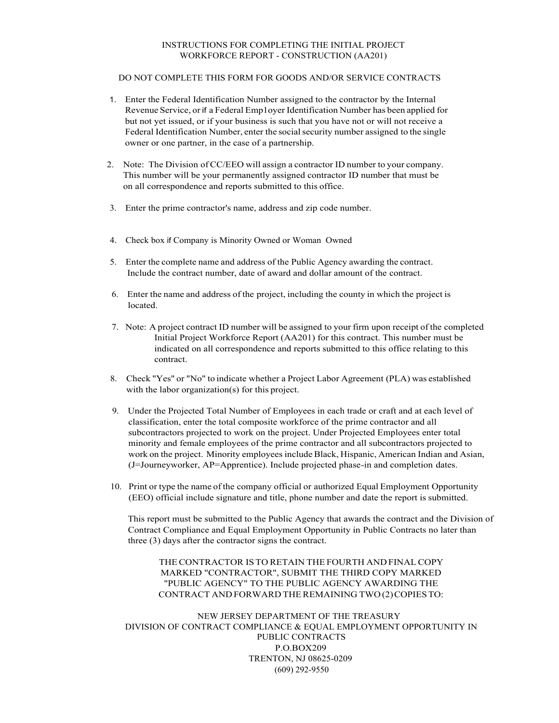#### INSTRUCTIONS FOR COMPLETING THE INITIAL PROJECT WORKFORCE REPORT - CONSTRUCTION (AA201)

#### DO NOT COMPLETE THIS FORM FOR GOODS AND/OR SERVICE CONTRACTS

- 1. Enter the Federal Identification Number assigned to the contractor by the Internal Revenue Service, or if a Federal Emp1oyer Identification Number has been applied for but not yet issued, or if your business is such that you have not or will not receive a Federal Identification Number, enter the social security number assigned to the single owner or one partner, in the case of a partnership.
- 2. Note: The Division of CC/EEO will assign a contractor ID number to your company. This number will be your permanently assigned contractor ID number that must be on all correspondence and reports submitted to this office.
- 3. Enter the prime contractor's name, address and zip code number.
- 4. Check box if Company is Minority Owned or Woman Owned
- 5. Enter the complete name and address of the Public Agency awarding the contract. Include the contract number, date of award and dollar amount of the contract.
- 6. Enter the name and address of the project, including the county in which the project is located.
- 7. Note: A project contract ID number will be assigned to your firm upon receipt of the completed Initial Project Workforce Report (AA201) for this contract. This number must be indicated on all correspondence and reports submitted to this office relating to this contract.
- 8. Check "Yes" or "No" to indicate whether a Project Labor Agreement (PLA) was established with the labor organization( $s$ ) for this project.
- 9. Under the Projected Total Number of Employees in each trade or craft and at each level of classification, enter the total composite workforce of the prime contractor and all subcontractors projected to work on the project. Under Projected Employees enter total minority and female employees of the prime contractor and all subcontractors projected to work on the project. Minority employees include Black, Hispanic, American Indian and Asian, (J=Journeyworker, AP=Apprentice). Include projected phase-in and completion dates.
- 10. Print or type the name of the company official or authorized Equal Employment Opportunity (EEO) official include signature and title, phone number and date the report is submitted.

This report must be submitted to the Public Agency that awards the contract and the Division of Contract Compliance and Equal Employment Opportunity in Public Contracts no later than three  $(3)$  days after the contractor signs the contract.

#### THE CONTRACTOR IS TO RETAIN THE FOURTH AND FINAL COPY MARKED "CONTRACTOR", SUBMIT THE THIRD COPY MARKED "PUBLIC AGENCY" TO THE PUBLIC AGENCY AWARDING THE CONTRACT AND FORWARD THE REMAINING TWO (2) COPIES TO:

NEW JERSEY DEPARTMENT OF THE TREASURY DIVISION OF CONTRACT COMPLIANCE & EOUAL EMPLOYMENT OPPORTUNITY IN PUBLIC CONTRACTS P.O.BOX209 TRENTON, NJ 08625-0209  $(609)$  292-9550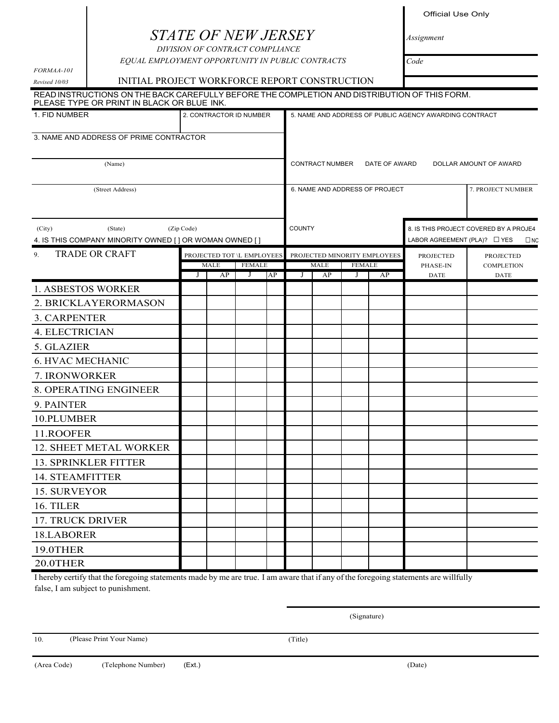#### **STATE OF NEW JERSEY**

DIVISION OF CONTRACT COMPLIANCE EQUAL EMPLOYMENT OPPORTUNITY IN PUBLIC CONTRACTS Official Use Only

Assignment

 $Code$ 

FORMAA-101 Revised 10/03

#### INITIAL PROJECT WORKFORCE REPORT CONSTRUCTION

| READ INSTRUCTIONS ON THE BACK CAREFULLY BEFORE THE COMPLETION AND DISTRIBUTION OF THIS FORM.<br>PLEASE TYPE OR PRINT IN BLACK OR BLUE INK. |            |             |                            |    |                                                            |             |               |                                |                              |                                                        |  |  |  |
|--------------------------------------------------------------------------------------------------------------------------------------------|------------|-------------|----------------------------|----|------------------------------------------------------------|-------------|---------------|--------------------------------|------------------------------|--------------------------------------------------------|--|--|--|
| 1. FID NUMBER                                                                                                                              |            |             | 2. CONTRACTOR ID NUMBER    |    | 5. NAME AND ADDRESS OF PUBLIC AGENCY AWARDING CONTRACT     |             |               |                                |                              |                                                        |  |  |  |
| 3. NAME AND ADDRESS OF PRIME CONTRACTOR                                                                                                    |            |             |                            |    |                                                            |             |               |                                |                              |                                                        |  |  |  |
| (Name)                                                                                                                                     |            |             |                            |    | CONTRACT NUMBER<br>DATE OF AWARD<br>DOLLAR AMOUNT OF AWARD |             |               |                                |                              |                                                        |  |  |  |
| (Street Address)                                                                                                                           |            |             |                            |    |                                                            |             |               | 6. NAME AND ADDRESS OF PROJECT |                              | 7. PROJECT NUMBER                                      |  |  |  |
| (City)<br>(State)<br>4. IS THIS COMPANY MINORITY OWNED [ ] OR WOMAN OWNED [ ]                                                              | (Zip Code) |             |                            |    | <b>COUNTY</b>                                              |             |               |                                | LABOR AGREEMENT (PLA)? □ YES | 8. IS THIS PROJECT COVERED BY A PROJE4<br>$\square$ NC |  |  |  |
| <b>TRADE OR CRAFT</b><br>9.                                                                                                                |            |             | PROJECTED TOT \L EMPLOYEES |    |                                                            |             |               | PROJECTED MINORITY EMPLOYEES   | PROJECTED                    | PROJECTED                                              |  |  |  |
|                                                                                                                                            |            | <b>MALE</b> | <b>FEMALE</b>              |    |                                                            | <b>MALE</b> | <b>FEMALE</b> |                                | PHASE-IN                     | <b>COMPLETION</b>                                      |  |  |  |
|                                                                                                                                            | J          | AP          | J                          | AP | J                                                          | AP          | J             | AP                             | <b>DATE</b>                  | DATE                                                   |  |  |  |
| <b>1. ASBESTOS WORKER</b>                                                                                                                  |            |             |                            |    |                                                            |             |               |                                |                              |                                                        |  |  |  |
| 2. BRICKLAYERORMASON                                                                                                                       |            |             |                            |    |                                                            |             |               |                                |                              |                                                        |  |  |  |
| 3. CARPENTER                                                                                                                               |            |             |                            |    |                                                            |             |               |                                |                              |                                                        |  |  |  |
| <b>4. ELECTRICIAN</b>                                                                                                                      |            |             |                            |    |                                                            |             |               |                                |                              |                                                        |  |  |  |
| 5. GLAZIER                                                                                                                                 |            |             |                            |    |                                                            |             |               |                                |                              |                                                        |  |  |  |
| <b>6. HVAC MECHANIC</b>                                                                                                                    |            |             |                            |    |                                                            |             |               |                                |                              |                                                        |  |  |  |
| 7. IRONWORKER                                                                                                                              |            |             |                            |    |                                                            |             |               |                                |                              |                                                        |  |  |  |
| <b>8. OPERATING ENGINEER</b>                                                                                                               |            |             |                            |    |                                                            |             |               |                                |                              |                                                        |  |  |  |
| 9. PAINTER                                                                                                                                 |            |             |                            |    |                                                            |             |               |                                |                              |                                                        |  |  |  |
| 10.PLUMBER                                                                                                                                 |            |             |                            |    |                                                            |             |               |                                |                              |                                                        |  |  |  |
| 11.ROOFER                                                                                                                                  |            |             |                            |    |                                                            |             |               |                                |                              |                                                        |  |  |  |
| <b>12. SHEET METAL WORKER</b>                                                                                                              |            |             |                            |    |                                                            |             |               |                                |                              |                                                        |  |  |  |
| <b>13. SPRINKLER FITTER</b>                                                                                                                |            |             |                            |    |                                                            |             |               |                                |                              |                                                        |  |  |  |
| 14. STEAMFITTER                                                                                                                            |            |             |                            |    |                                                            |             |               |                                |                              |                                                        |  |  |  |
| <b>15. SURVEYOR</b>                                                                                                                        |            |             |                            |    |                                                            |             |               |                                |                              |                                                        |  |  |  |
| 16. TILER                                                                                                                                  |            |             |                            |    |                                                            |             |               |                                |                              |                                                        |  |  |  |
| <b>17. TRUCK DRIVER</b>                                                                                                                    |            |             |                            |    |                                                            |             |               |                                |                              |                                                        |  |  |  |
| 18.LABORER                                                                                                                                 |            |             |                            |    |                                                            |             |               |                                |                              |                                                        |  |  |  |
| 19.0THER                                                                                                                                   |            |             |                            |    |                                                            |             |               |                                |                              |                                                        |  |  |  |
| 20.0THER                                                                                                                                   |            |             |                            |    |                                                            |             |               |                                |                              |                                                        |  |  |  |

I hereby certify that the foregoing statements made by me are true. I am aware that if any of the foregoing statements are willfully false, I am subject to punishment.

(Signature)

(Please Print Your Name) 10.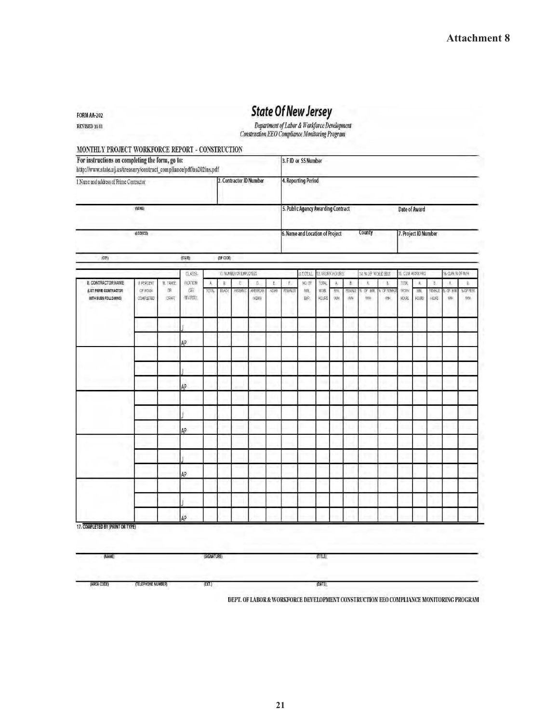| FORM AA-202   |
|---------------|
| REVISED 11/11 |

#### **State Of New Jersey**

 $\label{thm:deph} Department~of~Labor~\&~Workforce~Development~Construction~EEO~Compliance~Nontriction~DEO~Compliance~Monitoring~Program$ 

|  |  | MONTHLY PROJECT WORKFORCE REPORT - CONSTRUCTION |
|--|--|-------------------------------------------------|
|  |  |                                                 |

| For instructions on completing the form, go to:<br>http://www.state.nj.us/treasurv/contract_compliance/pdf/aa202ins.pdf |                         | 3. FID or SS Number                       |                      |  |  |  |  |
|-------------------------------------------------------------------------------------------------------------------------|-------------------------|-------------------------------------------|----------------------|--|--|--|--|
| 1. Name and address of Prime Contractor                                                                                 | 2. Contractor ID Number | 4. Reporting Period                       |                      |  |  |  |  |
| (NAME)                                                                                                                  |                         | 5. Public Agency Awarding Contract        | Date of Award        |  |  |  |  |
| (ADDRESS)                                                                                                               |                         | County<br>6. Name and Location of Project | 7. Project ID Number |  |  |  |  |

|                                                                     |                                                 |                             | CLASS-                                    |             |                             | 11 NUMBER OF EMPLOYEES |                          |                       |                      | 12 TOTAL             | 13 WORK HOURS          |                |                          | 14 % OF WORK HRS           |                                                 |                               | 15. CUM WORK HRS  |                             | 16. CUM: % OF W/H    |                                 |
|---------------------------------------------------------------------|-------------------------------------------------|-----------------------------|-------------------------------------------|-------------|-----------------------------|------------------------|--------------------------|-----------------------|----------------------|----------------------|------------------------|----------------|--------------------------|----------------------------|-------------------------------------------------|-------------------------------|-------------------|-----------------------------|----------------------|---------------------------------|
| 8. CONTRACTOR NAME<br>(UST PRIME CONTRACTOR<br>WITH SUBS FOLLOWING) | <b>3 PERCENT</b><br>OF WORK<br><b>COMPLETED</b> | 10. TRAEE<br>$C$ R<br>CRAFT | <b>FICATION</b><br><b>SEE</b><br>REVERSE) | A.<br>TOTAL | $\mathbb B$<br><b>ELACK</b> | Ċ.<br>HISPANIC         | D.<br>AMERICAN<br>INDIAN | $\mathbb{E}$<br>ASIAN | F.<br><b>FEMALES</b> | NO. OF<br>MN<br>BiP. | TOTAL<br>WORK<br>HOURS | 流<br>MR.<br>WH | E<br><b>FEMALE</b><br>WH | $\lambda$<br>% OF MN<br>州市 | $\mathbbm{E}$<br><b><i>N OF FEMALE</i></b><br>潮 | TOTAL<br><b>WORK</b><br>HOURG | 高<br>MN.<br>HOURS | B<br><b>FEMALE</b><br>HOURS | <b>N CF MN</b><br>WH | $\mathbb{B}$<br>% OF FEM.<br>WH |
|                                                                     |                                                 |                             | AP                                        |             |                             |                        |                          |                       |                      |                      |                        |                |                          |                            |                                                 |                               |                   |                             |                      |                                 |
|                                                                     |                                                 |                             | AP                                        |             |                             |                        |                          |                       |                      |                      |                        |                |                          |                            |                                                 |                               |                   |                             |                      |                                 |
|                                                                     |                                                 |                             | AP                                        |             |                             |                        |                          |                       |                      |                      |                        |                |                          |                            |                                                 |                               |                   |                             |                      |                                 |
|                                                                     |                                                 |                             |                                           |             |                             |                        |                          |                       |                      |                      |                        |                |                          |                            |                                                 |                               |                   |                             |                      |                                 |
|                                                                     |                                                 |                             | AP                                        |             |                             |                        |                          |                       |                      |                      |                        |                |                          |                            |                                                 |                               |                   |                             |                      |                                 |
| 17 COMPLETED BY (PRINT OR TYPE)                                     |                                                 |                             | <b>IAP</b>                                |             |                             |                        |                          |                       |                      |                      |                        |                |                          |                            |                                                 |                               |                   |                             |                      |                                 |

NIATE I EN PA (NRIM)  $\mathbf{u}$ 



DEPT. OF LABOR & WORKFORCE DEVELOPMENT CONSTRUCTION EEO COMPLIANCE MONITORING PROGRAM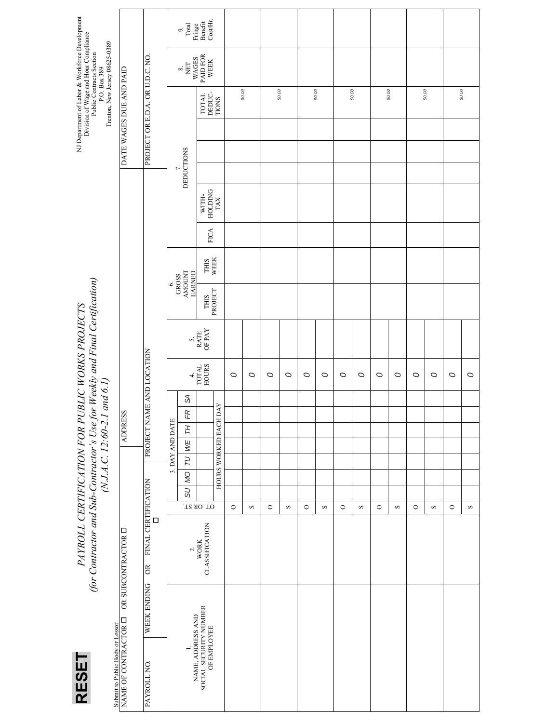|                                                                                                                                                                      |                              |                                 |                   | Total<br>o,                    | Cost/Hr.<br>Fringe<br>Benefit                                 |                                       |         |                       |         |        |         |         |         |                       |         |   |         |         |         |                       |
|----------------------------------------------------------------------------------------------------------------------------------------------------------------------|------------------------------|---------------------------------|-------------------|--------------------------------|---------------------------------------------------------------|---------------------------------------|---------|-----------------------|---------|--------|---------|---------|---------|-----------------------|---------|---|---------|---------|---------|-----------------------|
| NJ Department of Labor & Workforce Development<br>Division of Wage and Hour Compliance<br>Trenton, New Jersey 08625-0389<br>Public Contracts Section<br>P.O. Box 389 |                              |                                 |                   | WAGES<br>NET<br>$\infty$       | PAID FOR<br>WEEK                                              |                                       |         |                       |         |        |         |         |         |                       |         |   |         |         |         |                       |
|                                                                                                                                                                      |                              |                                 |                   |                                | DEDUC-<br>TOTAL                                               | TIONS                                 |         | \$0.00                |         | \$0.00 | \$0.00  |         | \$0.00  |                       | \$0.00  |   |         | \$0.00  | \$0.00  |                       |
|                                                                                                                                                                      | DATE WAGES DUE AND PAID      | PROJECT OR E.D.A. OR U.D.C. NO. |                   |                                |                                                               |                                       |         |                       |         |        |         |         |         |                       |         |   |         |         |         |                       |
|                                                                                                                                                                      |                              |                                 |                   | <b>DEDUCTIONS</b>              |                                                               |                                       |         |                       |         |        |         |         |         |                       |         |   |         |         |         |                       |
|                                                                                                                                                                      |                              |                                 |                   |                                | WITH-                                                         | $$\frac{\text{HOLDING}}{\text{TAX}}$$ |         |                       |         |        |         |         |         |                       |         |   |         |         |         |                       |
|                                                                                                                                                                      |                              |                                 |                   |                                | FICA                                                          |                                       |         |                       |         |        |         |         |         |                       |         |   |         |         |         |                       |
|                                                                                                                                                                      |                              |                                 | <b>GROSS</b><br>ó | <b>AMOUNT</b><br><b>EARNED</b> | THIS<br>WEEK                                                  |                                       |         |                       |         |        |         |         |         |                       |         |   |         |         |         |                       |
|                                                                                                                                                                      |                              |                                 |                   |                                | <b>THIS</b>                                                   | PROJECT                               |         |                       |         |        |         |         |         |                       |         |   |         |         |         |                       |
|                                                                                                                                                                      |                              |                                 |                   | s.                             | $\begin{array}{c}\n\text{RATE} \\ \text{OF PAY}\n\end{array}$ |                                       |         |                       |         |        |         |         |         |                       |         |   |         |         |         |                       |
|                                                                                                                                                                      |                              | PROJECT NAME AND LOCATION       |                   | 4.                             | HOURS<br>TOTAL                                                |                                       | $\circ$ | $\circ$               | $\circ$ | O      | O       | $\circ$ | O       | O                     | O       | O | O       | $\circ$ | $\circ$ | $\circ$               |
|                                                                                                                                                                      |                              |                                 |                   | SA<br>FR                       |                                                               | <b>DAY</b>                            |         |                       |         |        |         |         |         |                       |         |   |         |         |         |                       |
|                                                                                                                                                                      | <b>ADDRESS</b>               |                                 | 3. DAY AND DATE   | FН<br>WE                       |                                                               | HOURS WORKED EACH                     |         |                       |         |        |         |         |         |                       |         |   |         |         |         |                       |
|                                                                                                                                                                      |                              |                                 |                   | Tυ                             |                                                               |                                       |         |                       |         |        |         |         |         |                       |         |   |         |         |         |                       |
|                                                                                                                                                                      |                              |                                 |                   | <b>MO</b><br>SU                |                                                               |                                       |         |                       |         |        |         |         |         |                       |         |   |         |         |         |                       |
|                                                                                                                                                                      |                              | $\Box$                          |                   |                                | TE AO .TO                                                     |                                       | $\circ$ | $\boldsymbol{\Omega}$ | $\circ$ | S      | $\circ$ | S       | $\circ$ | $\boldsymbol{\omega}$ | $\circ$ | S | $\circ$ | S       | $\circ$ | $\boldsymbol{\Omega}$ |
| (for Contractor and Sub-Contractor's Use for Weekly and Final Certification)<br>(N.J.A.C. 12:60-2.1 and 6.1)<br>PAYROLL CERTIFICATION FOR PUBLIC WORKS PROJECTS      | OR SUBCONTRACTOR L           | FINAL CERTIFICATION<br>$\infty$ |                   | $\frac{2}{WORK}$               | CLASSIFICATION                                                |                                       |         |                       |         |        |         |         |         |                       |         |   |         |         |         |                       |
|                                                                                                                                                                      |                              | WEEK ENDING                     |                   |                                |                                                               |                                       |         |                       |         |        |         |         |         |                       |         |   |         |         |         |                       |
| Submit to Public Body or Lessor<br><b>RESET</b>                                                                                                                      | NAME OF CONTRACTOR <b>LI</b> | PAYROLL NO.                     |                   | $\ddot{ }$                     | NAME, ADDRESS AND<br>SOCIAL SECURITY NUMBER<br>OF EMPLOYEE    |                                       |         |                       |         |        |         |         |         |                       |         |   |         |         |         |                       |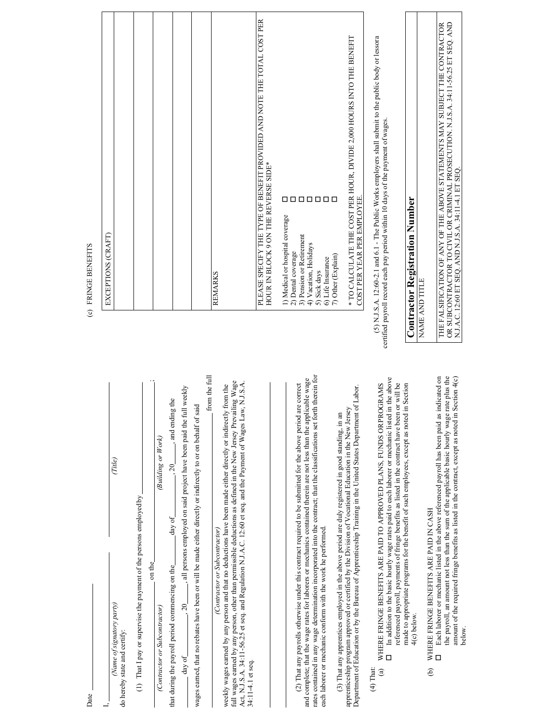| Date                                                                                                                                                                                                                                                                                                                                                                                                                             | (c) FRINGE BENEFITS                                                                                                                                                                        |
|----------------------------------------------------------------------------------------------------------------------------------------------------------------------------------------------------------------------------------------------------------------------------------------------------------------------------------------------------------------------------------------------------------------------------------|--------------------------------------------------------------------------------------------------------------------------------------------------------------------------------------------|
| (Title)<br>(Name of signatory party)<br>do hereby state and certify:                                                                                                                                                                                                                                                                                                                                                             | EXCEPTIONS (CRAFT)                                                                                                                                                                         |
| (1) That I pay or supervise the payment of the persons employed by                                                                                                                                                                                                                                                                                                                                                               |                                                                                                                                                                                            |
| on the                                                                                                                                                                                                                                                                                                                                                                                                                           |                                                                                                                                                                                            |
| (Building or Work)<br>(Contractor or Subcontractor)                                                                                                                                                                                                                                                                                                                                                                              |                                                                                                                                                                                            |
| , and ending the<br>$\overline{c}$<br>day of<br>that during the payroll period commencing on the                                                                                                                                                                                                                                                                                                                                 |                                                                                                                                                                                            |
| all persons employed on said project have been paid the full weekly<br>.20<br>$day$ of                                                                                                                                                                                                                                                                                                                                           |                                                                                                                                                                                            |
| wages earned, that no rebates have been or will be made either directly or indirectly to or on behalf of said                                                                                                                                                                                                                                                                                                                    |                                                                                                                                                                                            |
| from the full<br>full wages earned by any person, other than permissible deductions as defined in the New Jersey Prevailing Wage<br>Act, N.J.S.A. 34:11-56.25 et seq. and Regulation N.J.A.C. 12:60 et seq. and the Payment of Wages Law, N.J.S.A.<br>weekly wages earned by any person and that no deductions have been made either directly or indirectly from the<br>(Contractor or Subcontractor)<br>34:11-4.1 et seq.       | <b>REMARKS</b>                                                                                                                                                                             |
|                                                                                                                                                                                                                                                                                                                                                                                                                                  | PLEASE SPECIFY THE TYPE OF BENEFIT PROVIDED AND NOTE THE TOTAL COST PER<br>HOUR IN BLOCK 9 ON THE REVERSE SIDE*                                                                            |
|                                                                                                                                                                                                                                                                                                                                                                                                                                  | 1) Medical or hospital coverage                                                                                                                                                            |
| rates contained in any wage determination incorporated into the contract; that the classifications set forth therein for<br>and complete; that the wage rates for laborers or mechanics contained therein are not less than the applicable wage<br>(2) That any payrolls otherwise under this contract required to be submitted for the above period are correct<br>each laborer or mechanic conform with the work he performed. | □□<br>00000<br>3) Pension or Retirement<br>4) Vacation, Holidays<br>2) Dental coverage<br>6) Life Insurance<br>5) Sick days                                                                |
| (3) That any apprentices employed in the above period are duly registered in good standing, in an                                                                                                                                                                                                                                                                                                                                | 7) Other (Explain)                                                                                                                                                                         |
| Department of Education or by the Bureau of Apprenticeship Training in the United States Department of Labor.<br>apprenticeship program approved or certified by the Division of Vocational Education in the New Jersey                                                                                                                                                                                                          | * TO CALCULATE THE COST PER HOUR, DIVIDE 2,000 HOURS INTO THE BENEFIT<br>COST PER YEAR PER EMPLOYEE.                                                                                       |
| In addition to the basic hourly wage rates paid to each laborer or mechanic listed in the above<br>referenced payroll, payments of fringe benefits as listed in the contract have been or will be<br>WHERE FRINGE BENEFITS ARE PAID TO APPROVED PLANS, FUNDS OR PROGRAMS<br>$\Box$<br>(4) That:<br>$\widehat{a}$                                                                                                                 | (5) N.J.S.A. 12:60-2.1 and 6.1 - The Public Works employers shall submit to the public body or lessora<br>certified payroll record each pay period within 10 days of the payment of wages. |
| made to appropriate programs for the benefit of such employees, except as noted in Section<br>$4(c)$ below.                                                                                                                                                                                                                                                                                                                      | <b>Contractor Registration Number</b>                                                                                                                                                      |
|                                                                                                                                                                                                                                                                                                                                                                                                                                  | NAME AND TITLE                                                                                                                                                                             |
| WHERE FRINGE BENEFITS ARE PAID IN CASH<br>$\Box$<br>ê                                                                                                                                                                                                                                                                                                                                                                            |                                                                                                                                                                                            |
| the payroll, an amount not less than the sum of the applicable basic hourly wage rate plus the<br>amount of the required fringe benefits as listed in the contract, except as noted in Section 4(c)<br>Each laborer or mechanic listed in the above referenced payroll has been paid as indicated on                                                                                                                             | OR SUBCONTRACTOR TO CIVIL OR CRIMINAL PROSECUTION. N.I.S.A. 34: 11-56.25 ET SEQ. AND<br>THE FALSIFICATION OF ANY OF THE ABOVE STATEMENTS MAY SUBJECT THE CONTRACTOR                        |
|                                                                                                                                                                                                                                                                                                                                                                                                                                  | N.J.A.C. 12:60 ET SEQ. AND N.J.S.A. 34:11-4.1 ET SEQ.                                                                                                                                      |

Each laborer or mechanic listed in the above referenced payroll has been paid as indicated on the payroll, an amount not less than the sum of the applicable basic hourly wage rate plus the amount of the required fringe ben  $\Box$  Each laborer or mechanic listed in the above referenced payroll has been paid as indicated on the payroll, an amount not less than the sum of the applicable basic hourly wage rate plus the amount of the required fringe benefits as listed in the contract, except as noted in Section  $4(c)$ below.  $\Box$ 

N.J.A.C. 12:60 ET SEQ. AND N.J.S.A. 34:11-4.1 ET SEQ.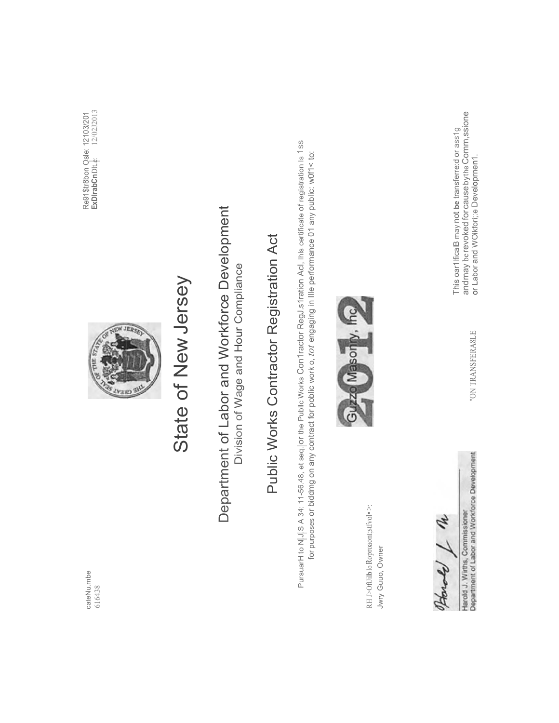cateNu.mbe 616438



Re91\$tr8bon Osle: 12103/201<br>ExDirabCnDlt.e: 12/02J2013

# State of New Jersey

# Department of Labor and Workforce Development Division of Wage and Hour Compliance

# Public Works Contractor Registration Act

PursuarH to N|J|S A 34: 11-56.48, et seq. or the Public Works Con1ractor RegJ.s1ration Ad, Ihls certificate of registration is 1ss for purposes or bidding on any contract for poblic work o, tot engaging in Ille performance 01 any public: w0f1< to:



RH J>OfUilb lo Roproaont;stfvol•>: Jwry Guuo, Owner

Harold L M

Harold J. Wirths, Commissioner<br>Department of Labor and Workforce Development

"ON TRANSFERA8LE

and may be revoked for cause by the Comm, ssione This oar1lficalB may not be transferre:d or ass1g or Labor and WOikfori;:e Developrnen1.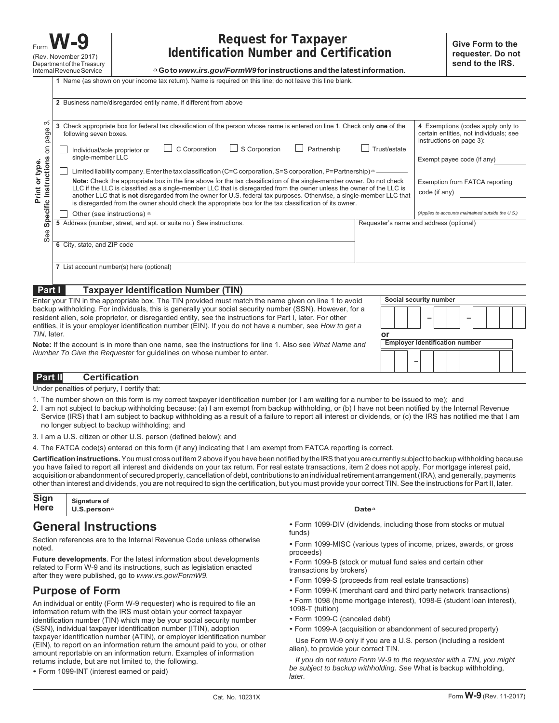a Go to www.irs.gov/FormW9for instructions and the latest information.

|                                                                                                                                                                                                             | 2 Business name/disregarded entity name, if different from above                                                                                                                                                                                                                                                                                                                                                                                                                                                                                                                                                                                                                                                                                                                        |                                                                                                                                                                                          |
|-------------------------------------------------------------------------------------------------------------------------------------------------------------------------------------------------------------|-----------------------------------------------------------------------------------------------------------------------------------------------------------------------------------------------------------------------------------------------------------------------------------------------------------------------------------------------------------------------------------------------------------------------------------------------------------------------------------------------------------------------------------------------------------------------------------------------------------------------------------------------------------------------------------------------------------------------------------------------------------------------------------------|------------------------------------------------------------------------------------------------------------------------------------------------------------------------------------------|
| က<br>page<br>$\mathsf{S}% _{T}=\mathsf{S}_{T}\!\left( a,b\right) ,\mathsf{S}_{T}=\mathsf{S}_{T}\!\left( a,b\right) ,\mathsf{S}_{T}=\mathsf{S}_{T}\!\left( a,b\right) ,$<br>Print or type.<br>c Instructions | Check appropriate box for federal tax classification of the person whose name is entered on line 1. Check only one of the<br>3<br>following seven boxes.<br>S Corporation<br>C Corporation<br>Trust/estate<br>Partnership<br>Individual/sole proprietor or<br>single-member LLC<br>Limited liability company. Enter the tax classification (C=C corporation, S=S corporation, P=Partnership) $\mathrm{^a}_-$<br>Note: Check the appropriate box in the line above for the tax classification of the single-member owner. Do not check<br>LLC if the LLC is classified as a single-member LLC that is disregarded from the owner unless the owner of the LLC is<br>another LLC that is not disregarded from the owner for U.S. federal tax purposes. Otherwise, a single-member LLC that | 4 Exemptions (codes apply only to<br>certain entities, not individuals; see<br>instructions on page 3):<br>Exempt payee code (if any)<br>Exemption from FATCA reporting<br>code (if any) |
| Specific                                                                                                                                                                                                    | is disregarded from the owner should check the appropriate box for the tax classification of its owner.                                                                                                                                                                                                                                                                                                                                                                                                                                                                                                                                                                                                                                                                                 |                                                                                                                                                                                          |
|                                                                                                                                                                                                             | Other (see instructions) a                                                                                                                                                                                                                                                                                                                                                                                                                                                                                                                                                                                                                                                                                                                                                              | (Applies to accounts maintained outside the U.S.)                                                                                                                                        |
|                                                                                                                                                                                                             | Address (number, street, and apt. or suite no.) See instructions.                                                                                                                                                                                                                                                                                                                                                                                                                                                                                                                                                                                                                                                                                                                       | Requester's name and address (optional)                                                                                                                                                  |
| See                                                                                                                                                                                                         |                                                                                                                                                                                                                                                                                                                                                                                                                                                                                                                                                                                                                                                                                                                                                                                         |                                                                                                                                                                                          |
|                                                                                                                                                                                                             | 6 City, state, and ZIP code                                                                                                                                                                                                                                                                                                                                                                                                                                                                                                                                                                                                                                                                                                                                                             |                                                                                                                                                                                          |
|                                                                                                                                                                                                             |                                                                                                                                                                                                                                                                                                                                                                                                                                                                                                                                                                                                                                                                                                                                                                                         |                                                                                                                                                                                          |
|                                                                                                                                                                                                             | 7 List account number(s) here (optional)                                                                                                                                                                                                                                                                                                                                                                                                                                                                                                                                                                                                                                                                                                                                                |                                                                                                                                                                                          |
|                                                                                                                                                                                                             |                                                                                                                                                                                                                                                                                                                                                                                                                                                                                                                                                                                                                                                                                                                                                                                         |                                                                                                                                                                                          |
| <b>Part I</b>                                                                                                                                                                                               | <b>Taxpayer Identification Number (TIN)</b>                                                                                                                                                                                                                                                                                                                                                                                                                                                                                                                                                                                                                                                                                                                                             |                                                                                                                                                                                          |

| Enter your TIN in the appropriate box. The TIN provided must match the name given on line 1 to avoid                                                                                                                                                                                                                              | Social security number                |  |  |  |  |  |  |  |
|-----------------------------------------------------------------------------------------------------------------------------------------------------------------------------------------------------------------------------------------------------------------------------------------------------------------------------------|---------------------------------------|--|--|--|--|--|--|--|
| backup withholding. For individuals, this is generally your social security number (SSN). However, for a<br>resident alien, sole proprietor, or disregarded entity, see the instructions for Part I, later. For other<br>entities, it is your employer identification number (EIN). If you do not have a number, see How to get a |                                       |  |  |  |  |  |  |  |
| TIN. later.                                                                                                                                                                                                                                                                                                                       | or                                    |  |  |  |  |  |  |  |
| Note: If the account is in more than one name, see the instructions for line 1. Also see What Name and                                                                                                                                                                                                                            | <b>Employer identification number</b> |  |  |  |  |  |  |  |
| Number To Give the Requester for quidelines on whose number to enter.                                                                                                                                                                                                                                                             |                                       |  |  |  |  |  |  |  |
|                                                                                                                                                                                                                                                                                                                                   |                                       |  |  |  |  |  |  |  |
| Certification                                                                                                                                                                                                                                                                                                                     |                                       |  |  |  |  |  |  |  |

Under penalties of perjury, I certify that:

- 1. The number shown on this form is my correct taxpayer identification number (or I am waiting for a number to be issued to me); and
- 2. I am not subject to backup withholding because: (a) I am exempt from backup withholding, or (b) I have not been notified by the Internal Revenue Service (IRS) that I am subject to backup withholding as a result of a failure to report all interest or dividends, or (c) the IRS has notified me that I am no longer subject to backup withholding; and
- 3. I am a U.S. citizen or other U.S. person (defined below); and
- 4. The FATCA code(s) entered on this form (if any) indicating that I am exempt from FATCA reporting is correct.

Certification instructions. You must cross out item 2 above if you have been notified by the IRS that you are currently subject to backup withholding because you have failed to report all interest and dividends on your tax return. For real estate transactions, item 2 does not apply. For mortgage interest paid, acquisition or abandonment of secured property, cancellation of debt, contributions to an individual retirement arrangement (IRA), and generally, payments other than interest and dividends, you are not required to sign the certification, but you must provide your correct TIN. See the instructions for Part II, later.

| Sign | Signature of            |
|------|-------------------------|
| Here | U.S.person <sup>a</sup> |

#### **General Instructions**

Section references are to the Internal Revenue Code unless otherwise noted

Future developments. For the latest information about developments related to Form W-9 and its instructions, such as legislation enacted after they were published, go to www.irs.gov/FormW9.

#### **Purpose of Form**

An individual or entity (Form W-9 requester) who is required to file an information return with the IRS must obtain your correct taxpayer identification number (TIN) which may be your social security number (SSN), individual taxpayer identification number (ITIN), adoption taxpayer identification number (ATIN), or employer identification number (EIN), to report on an information return the amount paid to you, or other amount reportable on an information return. Examples of information returns include, but are not limited to, the following.

· Form 1099-INT (interest earned or paid)

- Form 1099-DIV (dividends, including those from stocks or mutual funds)
- Form 1099-MISC (various types of income, prizes, awards, or gross proceeds)
- Form 1099-B (stock or mutual fund sales and certain other transactions by brokers)
- Form 1099-S (proceeds from real estate transactions)

Date<sup>a</sup>

- Form 1099-K (merchant card and third party network transactions)
- Form 1098 (home mortgage interest), 1098-E (student loan interest), 1098-T (tuition)
- Form 1099-C (canceled debt)
- Form 1099-A (acquisition or abandonment of secured property)

Use Form W-9 only if you are a U.S. person (including a resident alien), to provide your correct TIN.

If you do not return Form W-9 to the requester with a TIN, you might be subject to backup withholding. See What is backup withholding, later.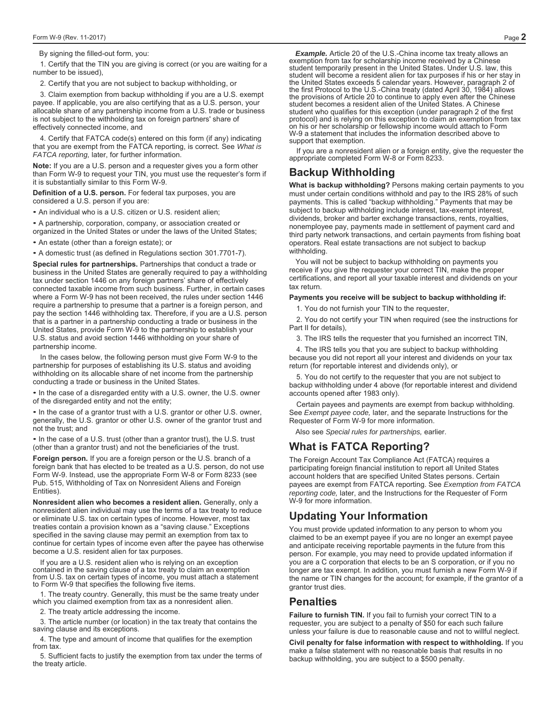By signing the filled-out form, you:

1. Certify that the TIN you are giving is correct (or you are waiting for a number to be issued),

2. Certify that you are not subject to backup withholding, or

3. Claim exemption from backup withholding if you are a U.S. exempt payee. If applicable, you are also certifying that as a U.S. person, your allocable share of any partnership income from a U.S. trade or business is not subject to the withholding tax on foreign partners' share of effectively connected income, and

4. Certify that FATCA code(s) entered on this form (if any) indicating that you are exempt from the FATCA reporting, is correct. See What is *FATCA reporting, later, for further information.* 

**Note:** If you are a U.S. person and a requester gives you a form other than Form W-9 to request your TIN, you must use the requester's form if it is substantially similar to this Form W-9.

Definition of a U.S. person. For federal tax purposes, you are considered a U.S. person if you are:

. An individual who is a U.S. citizen or U.S. resident alien;

• A partnership, corporation, company, or association created or organized in the United States or under the laws of the United States;

 $\bullet$  An estate (other than a foreign estate); or

• A domestic trust (as defined in Regulations section 301.7701-7).

Special rules for partnerships. Partnerships that conduct a trade or business in the United States are generally required to pay a withholding tax under section 1446 on any foreign partners' share of effectively connected taxable income from such business. Further, in certain cases where a Form W-9 has not been received, the rules under section 1446 require a partnership to presume that a partner is a foreign person, and pay the section 1446 withholding tax. Therefore, if you are a U.S. person that is a partner in a partnership conducting a trade or business in the United States, provide Form W-9 to the partnership to establish your U.S. status and avoid section 1446 withholding on your share of partnership income.

In the cases below, the following person must give Form W-9 to the partnership for purposes of establishing its U.S. status and avoiding withholding on its allocable share of net income from the partnership conducting a trade or business in the United States.

• In the case of a disregarded entity with a U.S. owner, the U.S. owner of the disregarded entity and not the entity;

• In the case of a grantor trust with a U.S. grantor or other U.S. owner, generally, the U.S. grantor or other U.S. owner of the grantor trust and not the trust; and

 $\bullet$  In the case of a U.S. trust (other than a grantor trust), the U.S. trust (other than a grantor trust) and not the beneficiaries of the trust.

Foreign person. If you are a foreign person or the U.S. branch of a foreign bank that has elected to be treated as a U.S. person, do not use Form W-9. Instead, use the appropriate Form W-8 or Form 8233 (see Pub. 515, Withholding of Tax on Nonresident Aliens and Foreign Entities)

Nonresident alien who becomes a resident alien. Generally, only a nonresident alien individual may use the terms of a tax treaty to reduce or eliminate U.S. tax on certain types of income. However, most tax treaties contain a provision known as a "saving clause." Exceptions specified in the saving clause may permit an exemption from tax to continue for certain types of income even after the payee has otherwise become a U.S. resident alien for tax purposes.

If you are a U.S. resident alien who is relying on an exception contained in the saving clause of a tax treaty to claim an exemption from U.S. tax on certain types of income, you must attach a statement to Form W-9 that specifies the following five items.

1. The treaty country. Generally, this must be the same treaty under which you claimed exemption from tax as a nonresident alien.

2. The treaty article addressing the income.

3. The article number (or location) in the tax treaty that contains the saving clause and its exceptions.

4. The type and amount of income that qualifies for the exemption from tax.

5. Sufficient facts to justify the exemption from tax under the terms of the treaty article.

**Example.** Article 20 of the U.S.-China income tax treaty allows an exemption from tax for scholarship income received by a Chinese student temporarily present in the United States. Under U.S. law, this student will become a resident alien for tax purposes if his or her stay in<br>the United States exceeds 5 calendar years. However, paragraph 2 of<br>the first Protocol to the U.S.-China treaty (dated April 30, 1984) allows the provisions of Article 20 to continue to apply even after the Chinese student becomes a resident alien of the United States. A Chinese student who qualifies for this exception (under paragraph 2 of the first protocol) and is relying on this exception to claim an exemption from tax on his or her scholarship or fellowship income would attach to Form W-9 a statement that includes the information described above to support that exemption.

If you are a nonresident alien or a foreign entity, give the requester the appropriate completed Form W-8 or Form 8233.

#### **Backup Withholding**

**What is backup withholding?** Persons making certain payments to you must under certain conditions withhold and pay to the IRS 28% of such payments. This is called "backup withholding." Payments that may be subject to backup withholding include interest, tax-exempt interest, dividends, broker and barter exchange transactions, rents, royalties, nonemployee pay, payments made in settlement of payment card and third party network transactions, and certain payments from fishing boat operators. Real estate transactions are not subject to backup withholding.

You will not be subject to backup withholding on payments you receive if you give the requester your correct TIN, make the proper certifications, and report all your taxable interest and dividends on your tax return.

#### Payments you receive will be subject to backup withholding if:

1. You do not furnish your TIN to the requester,

2. You do not certify your TIN when required (see the instructions for Part II for details),

3. The IRS tells the requester that you furnished an incorrect TIN,

4. The IRS tells you that you are subject to backup withholding because you did not report all your interest and dividends on your tax return (for reportable interest and dividends only), or

5. You do not certify to the requester that you are not subject to backup withholding under 4 above (for reportable interest and dividend accounts opened after 1983 only).

Certain payees and payments are exempt from backup withholding. See *Exempt payee code*, later, and the separate Instructions for the Requester of Form W-9 for more information.

Also see Special rules for partnerships, earlier.

#### **What is FATCA Reporting?**

The Foreign Account Tax Compliance Act (FATCA) requires a participating foreign financial institution to report all United States account holders that are specified United States persons. Certain payees are exempt from FATCA reporting. See Exemption from FATCA *reporting code, later, and the Instructions for the Requester of Form* W-9 for more information

#### **Updating Your Information**

You must provide updated information to any person to whom you claimed to be an exempt payee if you are no longer an exempt payee and anticipate receiving reportable payments in the future from this person. For example, you may need to provide updated information if you are a C corporation that elects to be an S corporation, or if you no longer are tax exempt. In addition, you must furnish a new Form W-9 if the name or TIN changes for the account; for example, if the grantor of a grantor trust dies.

#### **Penalties**

**Failure to furnish TIN.** If you fail to furnish your correct TIN to a requester, you are subject to a penalty of \$50 for each such failure unless your failure is due to reasonable cause and not to willful neglect.

**Civil penalty for false information with respect to withholding.** If you make a false statement with no reasonable basis that results in no backup withholding, you are subject to a \$500 penalty.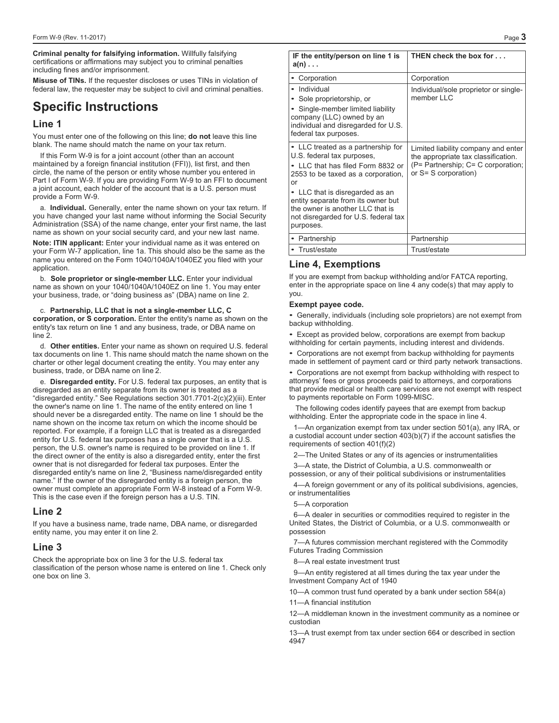Criminal penalty for falsifying information. Willfully falsifying certifications or affirmations may subject you to criminal penalties including fines and/or imprisonment.

**Misuse of TINs.** If the requester discloses or uses TINs in violation of federal law, the requester may be subject to civil and criminal penalties.

#### **Specific Instructions**

#### Line 1

You must enter one of the following on this line; do not leave this line blank. The name should match the name on your tax return.

If this Form W-9 is for a joint account (other than an account maintained by a foreign financial institution (FFI)), list first, and then circle, the name of the person or entity whose number you entered in Part I of Form W-9. If you are providing Form W-9 to an FFI to document a joint account, each holder of the account that is a U.S. person must provide a Form W-9.

a. Individual. Generally, enter the name shown on your tax return. If you have changed your last name without informing the Social Security Administration (SSA) of the name change, enter your first name, the last hame as shown on your social security card, and your new last name.

**Note: ITIN applicant:** Enter your individual name as it was entered on your Form W-7 application, line 1a. This should also be the same as the name you entered on the Form 1040/1040A/1040EZ you filed with your application.

b. Sole proprietor or single-member LLC. Enter your individual name as shown on your 1040/1040A/1040EZ on line 1. You may enter your business, trade, or "doing business as" (DBA) name on line 2.

c. Partnership, LLC that is not a single-member LLC, C corporation, or S corporation. Enter the entity's name as shown on the entity's tax return on line 1 and any business, trade, or DBA name on line 2.

d. Other entities. Enter your name as shown on required U.S. federal tax documents on line 1. This name should match the name shown on the charter or other legal document creating the entity. You may enter any business, trade, or DBA name on line 2.

e. Disregarded entity. For U.S. federal tax purposes, an entity that is disregarded as an entity separate from its owner is treated as a "disregarded entity." See Regulations section 301.7701-2(c)(2)(iii). Enter the owner's name on line 1. The name of the entity entered on line 1 should never be a disregarded entity. The name on line 1 should be the hame shown on the income tax return on which the income should be reported. For example, if a foreign LLC that is treated as a disregarded entity for U.S. federal tax purposes has a single owner that is a U.S. person, the U.S. owner's name is required to be provided on line 1. If the direct owner of the entity is also a disregarded entity, enter the first owner that is not disregarded for federal tax purposes. Enter the disregarded entity's name on line 2, "Business name/disregarded entity name." If the owner of the disregarded entity is a foreign person, the owner must complete an appropriate Form W-8 instead of a Form W-9. This is the case even if the foreign person has a U.S. TIN.

#### Line 2

If you have a business name, trade name, DBA name, or disregarded entity name, you may enter it on line 2.

#### Line 3

Check the appropriate box on line 3 for the U.S. federal tax classification of the person whose name is entered on line 1. Check only  $one$  hox on line  $3$ 

| IF the entity/person on line 1 is<br>$a(n) \ldots$                                                                                                                                                                                                                                                                  | THEN check the box for                                                                                                                   |
|---------------------------------------------------------------------------------------------------------------------------------------------------------------------------------------------------------------------------------------------------------------------------------------------------------------------|------------------------------------------------------------------------------------------------------------------------------------------|
| • Corporation                                                                                                                                                                                                                                                                                                       | Corporation                                                                                                                              |
| • Individual<br>• Sole proprietorship, or<br>• Single-member limited liability<br>company (LLC) owned by an<br>individual and disregarded for U.S.<br>federal tax purposes.                                                                                                                                         | Individual/sole proprietor or single-<br>member LLC                                                                                      |
| • LLC treated as a partnership for<br>U.S. federal tax purposes,<br>• LLC that has filed Form 8832 or<br>2553 to be taxed as a corporation,<br>or<br>• LLC that is disregarded as an<br>entity separate from its owner but<br>the owner is another LLC that is<br>not disregarded for U.S. federal tax<br>purposes. | Limited liability company and enter<br>the appropriate tax classification.<br>(P= Partnership; C= C corporation;<br>or S= S corporation) |
| • Partnership                                                                                                                                                                                                                                                                                                       | Partnership                                                                                                                              |
| • Trust/estate                                                                                                                                                                                                                                                                                                      | Trust/estate                                                                                                                             |

#### **Line 4, Exemptions**

If you are exempt from backup withholding and/or FATCA reporting, enter in the appropriate space on line 4 any code(s) that may apply to you.

#### Exempt payee code.

• Generally, individuals (including sole proprietors) are not exempt from backup withholding.

• Except as provided below, corporations are exempt from backup withholding for certain payments, including interest and dividends.

• Corporations are not exempt from backup withholding for payments made in settlement of payment card or third party network transactions.

• Corporations are not exempt from backup withholding with respect to attorneys' fees or gross proceeds paid to attorneys, and corporations that provide medical or health care services are not exempt with respect to payments reportable on Form 1099-MISC.

The following codes identify payees that are exempt from backup withholding. Enter the appropriate code in the space in line 4.

1-An organization exempt from tax under section 501(a), any IRA, or a custodial account under section  $403(b)(7)$  if the account satisfies the requirements of section  $401(f)(2)$ 

2-The United States or any of its agencies or instrumentalities

3-A state, the District of Columbia, a U.S. commonwealth or possession, or any of their political subdivisions or instrumentalities

4-A foreign government or any of its political subdivisions, agencies, or instrumentalities

#### 5-A corporation

6-A dealer in securities or commodities required to register in the United States, the District of Columbia, or a U.S. commonwealth or possession

7-A futures commission merchant registered with the Commodity Futures Trading Commission

-A real estate investment trust

9-An entity registered at all times during the tax year under the Investment Company Act of 1940

10-A common trust fund operated by a bank under section  $584(a)$ 

11-A financial institution

12-A middleman known in the investment community as a nominee or custodian

13-A trust exempt from tax under section 664 or described in section 4947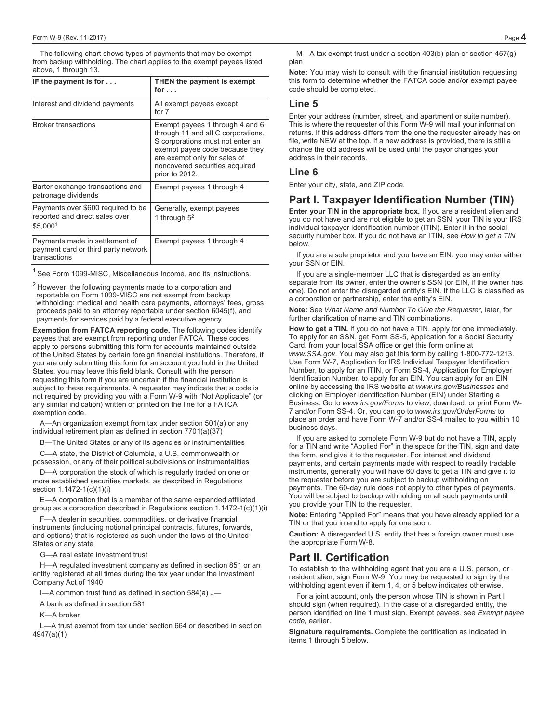The following chart shows types of payments that may be exempt from backup withholding. The chart applies to the exempt payees listed above, 1 through 13.

| IF the payment is for $\dots$                                                                | THEN the payment is exempt<br>for $\dots$                                                                                                                                                                                       |
|----------------------------------------------------------------------------------------------|---------------------------------------------------------------------------------------------------------------------------------------------------------------------------------------------------------------------------------|
| Interest and dividend payments                                                               | All exempt payees except<br>for $7$                                                                                                                                                                                             |
| <b>Broker transactions</b>                                                                   | Exempt payees 1 through 4 and 6<br>through 11 and all C corporations.<br>S corporations must not enter an<br>exempt payee code because they<br>are exempt only for sales of<br>noncovered securities acquired<br>prior to 2012. |
| Barter exchange transactions and<br>patronage dividends                                      | Exempt payees 1 through 4                                                                                                                                                                                                       |
| Payments over \$600 required to be<br>reported and direct sales over<br>\$5.000 <sup>1</sup> | Generally, exempt payees<br>1 through $5^2$                                                                                                                                                                                     |
| Payments made in settlement of<br>payment card or third party network<br>transactions        | Exempt payees 1 through 4                                                                                                                                                                                                       |

 $1$  See Form 1099-MISC, Miscellaneous Income, and its instructions.

 $2$  However, the following payments made to a corporation and reportable on Form 1099-MISC are not exempt from backup withholding: medical and health care payments, attorneys' fees, gross proceeds paid to an attorney reportable under section 6045(f), and payments for services paid by a federal executive agency.

Exemption from FATCA reporting code. The following codes identify payees that are exempt from reporting under FATCA. These codes apply to persons submitting this form for accounts maintained outside of the United States by certain foreign financial institutions. Therefore, if you are only submitting this form for an account you hold in the United States, you may leave this field blank. Consult with the person requesting this form if you are uncertain if the financial institution is subject to these requirements. A requester may indicate that a code is not required by providing you with a Form W-9 with "Not Applicable" (or any similar indication) written or printed on the line for a FATCA exemption code.

-An organization exempt from tax under section 501(a) or any individual retirement plan as defined in section 7701(a)(37)

-The United States or any of its agencies or instrumentalities

C-A state, the District of Columbia, a U.S. commonwealth or possession, or any of their political subdivisions or instrumentalities

D-A corporation the stock of which is regularly traded on one or more established securities markets, as described in Regulations section 1.1472-1(c)(1)(i)

E-A corporation that is a member of the same expanded affiliated group as a corporation described in Regulations section 1.1472-1(c)(1)(i)

F-A dealer in securities, commodities, or derivative financial instruments (including notional principal contracts, futures, forwards, and options) that is registered as such under the laws of the United States or any state

G-A real estate investment trust

H-A regulated investment company as defined in section 851 or an entity registered at all times during the tax year under the Investment Company Act of 1940

-A common trust fund as defined in section 584(a) J-

A bank as defined in section 581

K-A broker

L-A trust exempt from tax under section 664 or described in section  $4947(a)(1)$ 

M-A tax exempt trust under a section  $403(b)$  plan or section  $457(g)$ plan

Note: You may wish to consult with the financial institution requesting this form to determine whether the FATCA code and/or exempt payee code should be completed.

#### Line 5

Enter your address (number, street, and apartment or suite number). This is where the requester of this Form W-9 will mail your information returns. If this address differs from the one the requester already has on file, write NEW at the top. If a new address is provided, there is still a chance the old address will be used until the payor changes your address in their records.

#### Line 6

Enter your city, state, and ZIP code.

#### Part I. Taxpayer Identification Number (TIN)

Enter your TIN in the appropriate box. If you are a resident alien and you do not have and are not eligible to get an SSN, your TIN is your IRS individual taxpayer identification number (ITIN). Enter it in the social security number box. If you do not have an ITIN, see How to get a TIN helow

If you are a sole proprietor and you have an EIN, you may enter either vour SSN or EIN.

If you are a single-member LLC that is disregarded as an entity separate from its owner, enter the owner's SSN (or EIN, if the owner has one). Do not enter the disregarded entity's EIN. If the LLC is classified as a corporation or partnership, enter the entity's EIN.

Note: See What Name and Number To Give the Requester, later, for further clarification of name and TIN combinations

How to get a TIN. If you do not have a TIN, apply for one immediately. To apply for an SSN, get Form SS-5, Application for a Social Security Card, from your local SSA office or get this form online at www.SSA.gov. You may also get this form by calling 1-800-772-1213. Use Form W-7, Application for IRS Individual Taxpayer Identification Number, to apply for an ITIN, or Form SS-4, Application for Employer Identification Number, to apply for an EIN. You can apply for an EIN online by accessing the IRS website at www.irs.gov/Businesses and clicking on Employer Identification Number (EIN) under Starting a Business. Go to www.irs.gov/Forms to view, download, or print Form W-7 and/or Form SS-4. Or, you can go to www.irs.gov/OrderForms to place an order and have Form W-7 and/or SS-4 mailed to you within 10 business days.

If you are asked to complete Form W-9 but do not have a TIN, apply for a TIN and write "Applied For" in the space for the TIN, sign and date the form, and give it to the requester. For interest and dividend payments, and certain payments made with respect to readily tradable instruments, generally you will have 60 days to get a TIN and give it to the requester before you are subject to backup withholding on payments. The 60-day rule does not apply to other types of payments. You will be subject to backup withholding on all such payments until you provide your TIN to the requester.

Note: Entering "Applied For" means that you have already applied for a TIN or that you intend to apply for one soon.

**Caution:** A disregarded U.S. entity that has a foreign owner must use the appropriate Form W-8.

#### **Part II. Certification**

To establish to the withholding agent that you are a U.S. person, or resident alien, sign Form W-9. You may be requested to sign by the withholding agent even if item 1, 4, or 5 below indicates otherwise.

For a joint account, only the person whose TIN is shown in Part I should sign (when required). In the case of a disregarded entity, the person identified on line 1 must sign. Exempt payees, see Exempt payee code, earlier.

Signature requirements. Complete the certification as indicated in items 1 through 5 below.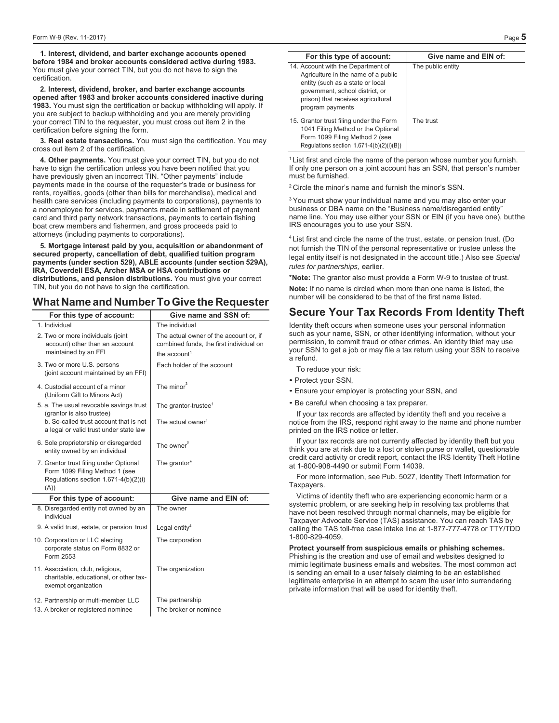1. Interest, dividend, and barter exchange accounts opened before 1984 and broker accounts considered active during 1983. You must give your correct TIN, but you do not have to sign the certification

2. Interest, dividend, broker, and barter exchange accounts opened after 1983 and broker accounts considered inactive during 1983. You must sign the certification or backup withholding will apply. If you are subject to backup withholding and you are merely providing your correct TIN to the requester, you must cross out item 2 in the certification before signing the form.

3. Real estate transactions. You must sign the certification. You may cross out item 2 of the certification.

4. Other payments. You must give your correct TIN, but you do not have to sign the certification unless you have been notified that you have previously given an incorrect TIN. "Other payments" include payments made in the course of the requester's trade or business for rents, royalties, goods (other than bills for merchandise), medical and health care services (including payments to corporations), payments to a nonemployee for services, payments made in settlement of payment card and third party network transactions, payments to certain fishing boat crew members and fishermen, and gross proceeds paid to attorneys (including payments to corporations).

5. Mortgage interest paid by you, acquisition or abandonment of secured property, cancellation of debt, qualified tuition program payments (under section 529), ABLE accounts (under section 529A), IRA, Coverdell ESA, Archer MSA or HSA contributions or distributions, and pension distributions. You must give your correct TIN, but you do not have to sign the certification.

#### What Name and Number To Give the Requester

| For this type of account:                                                                                                | Give name and SSN of:                                                                               |
|--------------------------------------------------------------------------------------------------------------------------|-----------------------------------------------------------------------------------------------------|
| 1. Individual                                                                                                            | The individual                                                                                      |
| 2. Two or more individuals (joint<br>account) other than an account<br>maintained by an FFI                              | The actual owner of the account or, if<br>combined funds, the first individual on<br>the $account1$ |
| 3. Two or more U.S. persons<br>(joint account maintained by an FFI)                                                      | Each holder of the account                                                                          |
| 4. Custodial account of a minor<br>(Uniform Gift to Minors Act)                                                          | The minor <sup>2</sup>                                                                              |
| 5. a. The usual revocable savings trust<br>(grantor is also trustee)                                                     | The grantor-trustee <sup>1</sup>                                                                    |
| b. So-called trust account that is not<br>a legal or valid trust under state law                                         | The actual owner <sup>1</sup>                                                                       |
| 6. Sole proprietorship or disregarded<br>entity owned by an individual                                                   | The owner <sup>3</sup>                                                                              |
| 7. Grantor trust filing under Optional<br>Form 1099 Filing Method 1 (see<br>Regulations section 1.671-4(b)(2)(i)<br>(A)) | The grantor*                                                                                        |
| For this type of account:                                                                                                | Give name and EIN of:                                                                               |
| 8. Disregarded entity not owned by an<br>individual                                                                      | The owner                                                                                           |
| 9. A valid trust, estate, or pension trust                                                                               | Legal entity <sup>4</sup>                                                                           |
| 10. Corporation or LLC electing<br>corporate status on Form 8832 or<br>Form 2553                                         | The corporation                                                                                     |
| 11. Association, club, religious,<br>charitable, educational, or other tax-<br>exempt organization                       | The organization                                                                                    |
| 12. Partnership or multi-member LLC                                                                                      | The partnership                                                                                     |
| 13. A broker or registered nominee                                                                                       | The broker or nominee                                                                               |

| For this type of account:                                                                                                                                                                                  | Give name and EIN of: |
|------------------------------------------------------------------------------------------------------------------------------------------------------------------------------------------------------------|-----------------------|
| 14. Account with the Department of<br>Agriculture in the name of a public<br>entity (such as a state or local<br>government, school district, or<br>prison) that receives agricultural<br>program payments | The public entity     |
| 15. Grantor trust filing under the Form<br>1041 Filing Method or the Optional<br>Form 1099 Filing Method 2 (see                                                                                            | The trust             |

<sup>1</sup> List first and circle the name of the person whose number you furnish. If only one person on a joint account has an SSN, that person's number must be furnished.

<sup>2</sup> Circle the minor's name and furnish the minor's SSN.

Regulations section 1.671-4(b)(2)(i)(B))

<sup>3</sup> You must show your individual name and you may also enter your business or DBA name on the "Business name/disregarded entity' name line. You may use either your SSN or EIN (if you have one), butthe IRS encourages you to use your SSN.

<sup>4</sup> List first and circle the name of the trust, estate, or pension trust. (Do not furnish the TIN of the personal representative or trustee unless the legal entity itself is not designated in the account title.) Also see Special rules for partnerships, earlier.

\*Note: The grantor also must provide a Form W-9 to trustee of trust.

Note: If no name is circled when more than one name is listed, the number will be considered to be that of the first name listed.

#### **Secure Your Tax Records From Identity Theft**

Identity theft occurs when someone uses your personal information such as your name, SSN, or other identifying information, without your permission, to commit fraud or other crimes. An identity thief may use your SSN to get a job or may file a tax return using your SSN to receive a refund.

To reduce your risk:

- Protect your SSN,
- Ensure your employer is protecting your SSN, and

• Be careful when choosing a tax preparer.

If your tax records are affected by identity theft and you receive a notice from the IRS, respond right away to the name and phone number printed on the IRS notice or letter.

If your tax records are not currently affected by identity theft but you think you are at risk due to a lost or stolen purse or wallet, questionable credit card activity or credit report, contact the IRS Identity Theft Hotline at 1-800-908-4490 or submit Form 14039.

For more information, see Pub. 5027, Identity Theft Information for Taxpayers.

Victims of identity theft who are experiencing economic harm or a systemic problem, or are seeking help in resolving tax problems that have not been resolved through normal channels, may be eligible for Taxpayer Advocate Service (TAS) assistance. You can reach TAS by calling the TAS toll-free case intake line at 1-877-777-4778 or TTY/TDD 1-800-829-4059.

Protect yourself from suspicious emails or phishing schemes. Phishing is the creation and use of email and websites designed to mimic legitimate business emails and websites. The most common act is sending an email to a user falsely claiming to be an established legitimate enterprise in an attempt to scam the user into surrendering private information that will be used for identity theft.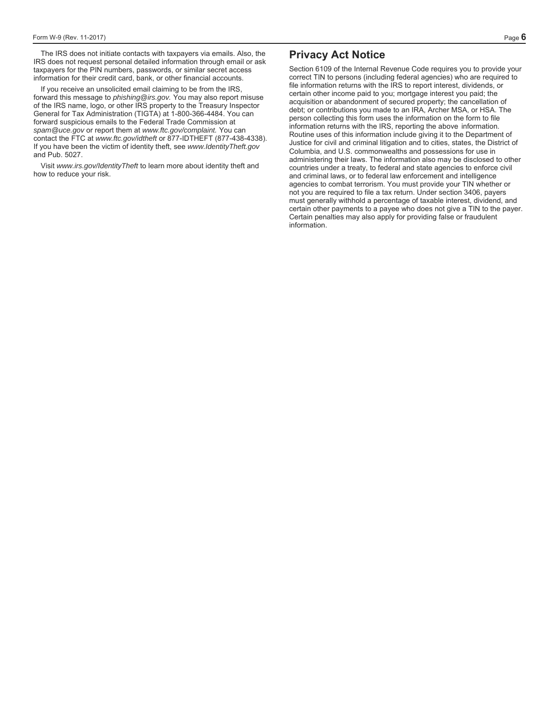The IRS does not initiate contacts with taxpayers via emails. Also, the IRS does not request personal detailed information through email or ask taxpayers for the PIN numbers, passwords, or similar secret access information for their credit card, bank, or other financial accounts.

If you receive an unsolicited email claiming to be from the IRS, forward this message to phishing@irs.gov. You may also report misuse of the IRS name, logo, or other IRS property to the Treasury Inspector General for Tax Administration (TIGTA) at 1-800-366-4484. You can forward suspicious emails to the Federal Trade Commission at spam@uce.gov or report them at www.ftc.gov/complaint. You can contact the FTC at www.ftc.gov/idtheft or 877-IDTHEFT (877-438-4338). If you have been the victim of identity theft, see www.IdentityTheft.gov and Pub. 5027.

Visit www.irs.gov/IdentityTheft to learn more about identity theft and how to reduce your risk.

#### **Privacy Act Notice**

Section 6109 of the Internal Revenue Code requires you to provide your correct TIN to persons (including federal agencies) who are required to file information returns with the IRS to report interest, dividends, or certain other income paid to you; mortgage interest you paid; the acquisition or abandonment of secured property; the cancellation of debt; or contributions you made to an IRA, Archer MSA, or HSA. The person collecting this form uses the information on the form to file information returns with the IRS, reporting the above information. Routine uses of this information include giving it to the Department of Justice for civil and criminal litigation and to cities, states, the District of Columbia, and U.S. commonwealths and possessions for use in administering their laws. The information also may be disclosed to other countries under a treaty, to federal and state agencies to enforce civil and criminal laws, or to federal law enforcement and intelligence agencies to combat terrorism. You must provide your TIN whether or not you are required to file a tax return. Under section 3406, payers must generally withhold a percentage of taxable interest, dividend, and certain other payments to a payee who does not give a TIN to the payer. Certain penalties may also apply for providing false or fraudulent information.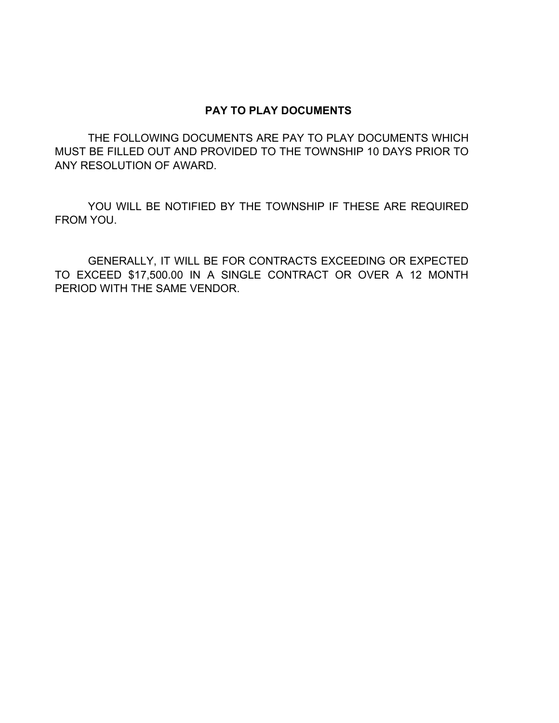#### **PAY TO PLAY DOCUMENTS**

THE FOLLOWING DOCUMENTS ARE PAY TO PLAY DOCUMENTS WHICH MUST BE FILLED OUT AND PROVIDED TO THE TOWNSHIP 10 DAYS PRIOR TO ANY RESOLUTION OF AWARD.

YOU WILL BE NOTIFIED BY THE TOWNSHIP IF THESE ARE REQUIRED FROM YOU.

GENERALLY, IT WILL BE FOR CONTRACTS EXCEEDING OR EXPECTED TO EXCEED \$17,500.00 IN A SINGLE CONTRACT OR OVER A 12 MONTH PERIOD WITH THE SAME VENDOR.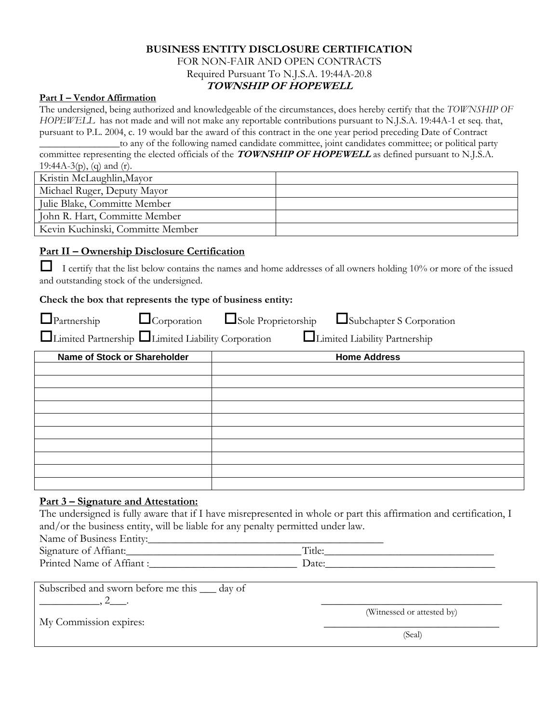#### **BUSINESS ENTITY DISCLOSURE CERTIFICATION** FOR NON-FAIR AND OPEN CONTRACTS Required Pursuant To N.J.S.A. 19:44A-20.8 **TOWNSHIP OF HOPEWELL**

#### **Part I – Vendor Affirmation**

The undersigned, being authorized and knowledgeable of the circumstances, does hereby certify that the *TOWNSHIP OF HOPEWELL* has not made and will not make any reportable contributions pursuant to N.J.S.A. 19:44A-1 et seq. that, pursuant to P.L. 2004, c. 19 would bar the award of this contract in the one year period preceding Date of Contract

\_\_\_\_\_\_\_\_\_\_\_\_\_\_\_\_to any of the following named candidate committee, joint candidates committee; or political party committee representing the elected officials of the **TOWNSHIP OF HOPEWELL** as defined pursuant to N.J.S.A. 19:44A-3(p), (q) and (r).

#### **Part II – Ownership Disclosure Certification**

I certify that the list below contains the names and home addresses of all owners holding  $10\%$  or more of the issued and outstanding stock of the undersigned.

#### **Check the box that represents the type of business entity:**

| Name of Stock or Shareholder                      |  | <b>Home Address</b>                                        |  |
|---------------------------------------------------|--|------------------------------------------------------------|--|
| Limited Partnership Limited Liability Corporation |  | Limited Liability Partnership                              |  |
| $\Box$ Partnership                                |  | Corporation LSole Proprietorship LSubchapter S Corporation |  |

| <b>Name of Stock of Shareholder</b> | <b>TIOTIC AUGLASS</b> |
|-------------------------------------|-----------------------|
|                                     |                       |
|                                     |                       |
|                                     |                       |
|                                     |                       |
|                                     |                       |
|                                     |                       |
|                                     |                       |
|                                     |                       |
|                                     |                       |
|                                     |                       |

#### **Part 3 – Signature and Attestation:**

The undersigned is fully aware that if I have misrepresented in whole or part this affirmation and certification, I and/or the business entity, will be liable for any penalty permitted under law.

Name of Business Entity: Signature of Affiant: Title: Printed Name of Affiant :\_\_\_\_\_\_\_\_\_\_\_\_\_\_\_\_\_\_\_\_\_\_\_\_\_\_\_ Date:\_\_\_\_\_\_\_\_\_\_\_\_\_\_\_\_\_\_\_\_\_\_\_\_\_\_\_\_\_\_\_ Subscribed and sworn before me this day of  $\overline{\phantom{a}}$ , 2 $\overline{\phantom{a}}$ . **\_\_\_\_\_\_\_\_\_\_\_\_\_\_\_\_\_\_\_\_\_\_\_\_\_\_\_\_\_\_\_\_\_** (Witnessed or attested by)

My Commission expires:

**\_\_\_\_\_\_\_\_\_\_\_\_\_\_\_\_\_\_\_\_\_\_\_\_\_\_\_\_\_\_\_\_** (Seal)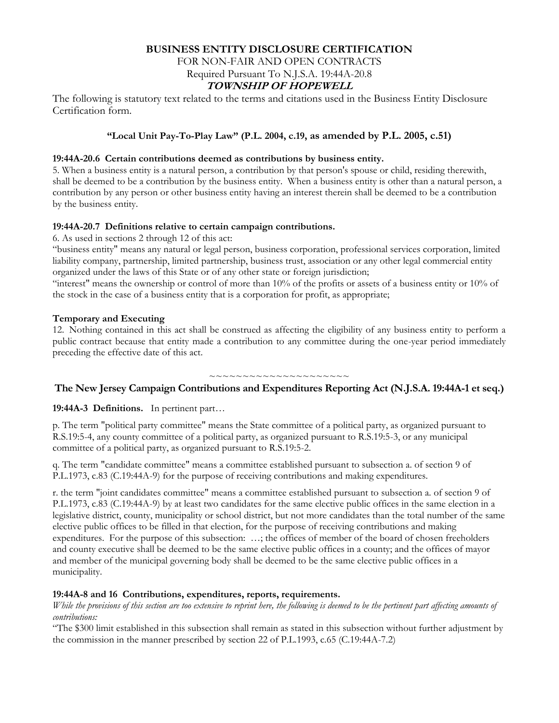#### **BUSINESS ENTITY DISCLOSURE CERTIFICATION**

FOR NON-FAIR AND OPEN CONTRACTS

Required Pursuant To N.J.S.A. 19:44A-20.8

#### **TOWNSHIP OF HOPEWELL**

The following is statutory text related to the terms and citations used in the Business Entity Disclosure Certification form.

#### **"Local Unit Pay-To-Play Law" (P.L. 2004, c.19, as amended by P.L. 2005, c.51)**

#### **19:44A-20.6 Certain contributions deemed as contributions by business entity.**

5. When a business entity is a natural person, a contribution by that person's spouse or child, residing therewith, shall be deemed to be a contribution by the business entity. When a business entity is other than a natural person, a contribution by any person or other business entity having an interest therein shall be deemed to be a contribution by the business entity.

#### **19:44A-20.7 Definitions relative to certain campaign contributions.**

6. As used in sections 2 through 12 of this act:

"business entity" means any natural or legal person, business corporation, professional services corporation, limited liability company, partnership, limited partnership, business trust, association or any other legal commercial entity organized under the laws of this State or of any other state or foreign jurisdiction;

"interest" means the ownership or control of more than 10% of the profits or assets of a business entity or 10% of the stock in the case of a business entity that is a corporation for profit, as appropriate;

#### **Temporary and Executing**

12. Nothing contained in this act shall be construed as affecting the eligibility of any business entity to perform a public contract because that entity made a contribution to any committee during the one-year period immediately preceding the effective date of this act.

#### ~~~~~~~~~~~~~~~~~~~~~

#### **The New Jersey Campaign Contributions and Expenditures Reporting Act (N.J.S.A. 19:44A-1 et seq.)**

**19:44A-3 Definitions.** In pertinent part…

p. The term "political party committee" means the State committee of a political party, as organized pursuant to R.S.19:5-4, any county committee of a political party, as organized pursuant to R.S.19:5-3, or any municipal committee of a political party, as organized pursuant to R.S.19:5-2.

q. The term "candidate committee" means a committee established pursuant to subsection a. of section 9 of P.L.1973, c.83 (C.19:44A-9) for the purpose of receiving contributions and making expenditures.

r. the term "joint candidates committee" means a committee established pursuant to subsection a. of section 9 of P.L.1973, c.83 (C.19:44A-9) by at least two candidates for the same elective public offices in the same election in a legislative district, county, municipality or school district, but not more candidates than the total number of the same elective public offices to be filled in that election, for the purpose of receiving contributions and making expenditures. For the purpose of this subsection: …; the offices of member of the board of chosen freeholders and county executive shall be deemed to be the same elective public offices in a county; and the offices of mayor and member of the municipal governing body shall be deemed to be the same elective public offices in a municipality.

#### **19:44A-8 and 16 Contributions, expenditures, reports, requirements.**

*While the provisions of this section are too extensive to reprint here, the following is deemed to be the pertinent part affecting amounts of contributions:*

"The \$300 limit established in this subsection shall remain as stated in this subsection without further adjustment by the commission in the manner prescribed by section 22 of P.L.1993, c.65 (C.19:44A-7.2)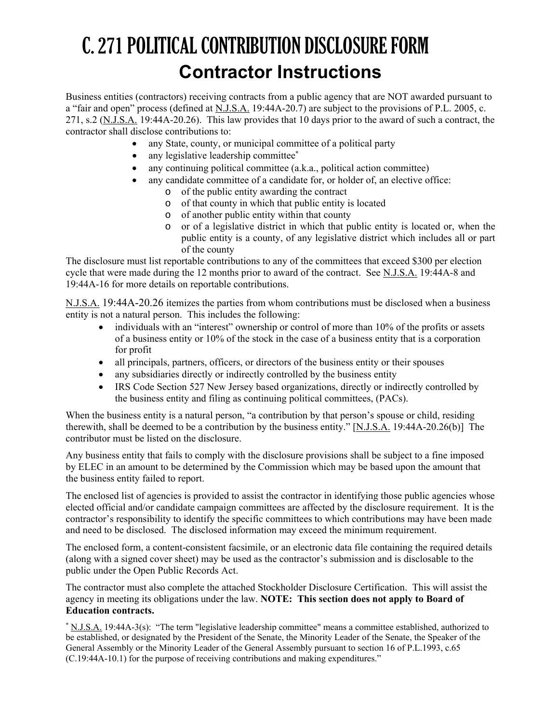# **C. 271 POLITICAL CONTRIBUTION DISCLOSURE FORM Contractor Instructions**

Business entities (contractors) receiving contracts from a public agency that are NOT awarded pursuant to a "fair and open" process (defined at N.J.S.A. 19:44A-20.7) are subject to the provisions of P.L. 2005, c. 271, s.2 (N.J.S.A. 19:44A-20.26). This law provides that 10 days prior to the award of such a contract, the contractor shall disclose contributions to:

- any State, county, or municipal committee of a political party
- any legislative leadership committee\*
- any continuing political committee (a.k.a., political action committee)
- any candidate committee of a candidate for, or holder of, an elective office:
	- o of the public entity awarding the contract
	- o of that county in which that public entity is located
	- o of another public entity within that county
	- o or of a legislative district in which that public entity is located or, when the public entity is a county, of any legislative district which includes all or part of the county

The disclosure must list reportable contributions to any of the committees that exceed \$300 per election cycle that were made during the 12 months prior to award of the contract. See N.J.S.A. 19:44A-8 and 19:44A-16 for more details on reportable contributions.

N.J.S.A. 19:44A-20.26 itemizes the parties from whom contributions must be disclosed when a business entity is not a natural person. This includes the following:

- individuals with an "interest" ownership or control of more than 10% of the profits or assets of a business entity or  $10\%$  of the stock in the case of a business entity that is a corporation for profit
- all principals, partners, officers, or directors of the business entity or their spouses
- any subsidiaries directly or indirectly controlled by the business entity
- IRS Code Section 527 New Jersey based organizations, directly or indirectly controlled by the business entity and filing as continuing political committees, (PACs).

When the business entity is a natural person, "a contribution by that person's spouse or child, residing therewith, shall be deemed to be a contribution by the business entity." [N.J.S.A. 19:44A-20.26(b)] The contributor must be listed on the disclosure.

Any business entity that fails to comply with the disclosure provisions shall be subject to a fine imposed by ELEC in an amount to be determined by the Commission which may be based upon the amount that the business entity failed to report.

The enclosed list of agencies is provided to assist the contractor in identifying those public agencies whose elected official and/or candidate campaign committees are affected by the disclosure requirement. It is the contractor's responsibility to identify the specific committees to which contributions may have been made and need to be disclosed. The disclosed information may exceed the minimum requirement.

The enclosed form, a content-consistent facsimile, or an electronic data file containing the required details (along with a signed cover sheet) may be used as the contractor's submission and is disclosable to the public under the Open Public Records Act.

The contractor must also complete the attached Stockholder Disclosure Certification. This will assist the agency in meeting its obligations under the law. NOTE: This section does not apply to Board of **Education contracts.** 

\* N.J.S.A. 19:44A-3(s): "The term "legislative leadership committee" means a committee established, authorized to be established, or designated by the President of the Senate, the Minority Leader of the Senate, the Speaker of the General Assembly or the Minority Leader of the General Assembly pursuant to section 16 of P.L.1993, c.65 (C.19:44A-10.1) for the purpose of receiving contributions and making expenditures."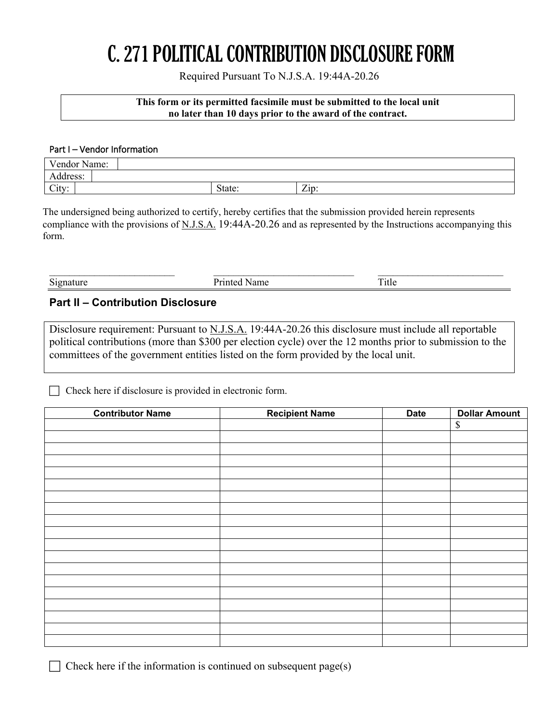# C. 271 POLITICAL CONTRIBUTION DISCLOSURE FORM

Required Pursuant To N.J.S.A. 19:44A-20.26

#### **This form or its permitted facsimile must be submitted to the local unit no later than 10 days prior to the award of the contract.**

#### Part I – Vendor Information

| Vendor Name: |  |        |                                           |
|--------------|--|--------|-------------------------------------------|
| Address:     |  |        |                                           |
| City:        |  | State: | $\overline{\phantom{a}}$<br>$\angle 1$ p: |

The undersigned being authorized to certify, hereby certifies that the submission provided herein represents compliance with the provisions of N.J.S.A. 19:44A-20.26 and as represented by the Instructions accompanying this form.

Signature **1920 1920 1930 1931 1931 1931 1931 1931 1931 1932 1933 1933 1933 1933 1933 1933 1933 1933 1933 1933 1933 1933 1933 1933 1933 1933 1933 1933 1933 1933 1** 

BBBBBBBBBBBBBBBBBBBBBBBBB BBBBBBBBBBBBBBBBBBBBBBBBBBBB BBBBBBBBBBBBBBBBBBBBBBBBB

#### **Part II - Contribution Disclosure**

Disclosure requirement: Pursuant to N.J.S.A. 19:44A-20.26 this disclosure must include all reportable political contributions (more than \$300 per election cycle) over the 12 months prior to submission to the committees of the government entities listed on the form provided by the local unit.

 $\Box$  Check here if disclosure is provided in electronic form.

| <b>Contributor Name</b> | <b>Recipient Name</b> | <b>Date</b> | <b>Dollar Amount</b> |
|-------------------------|-----------------------|-------------|----------------------|
|                         |                       |             | $\$$                 |
|                         |                       |             |                      |
|                         |                       |             |                      |
|                         |                       |             |                      |
|                         |                       |             |                      |
|                         |                       |             |                      |
|                         |                       |             |                      |
|                         |                       |             |                      |
|                         |                       |             |                      |
|                         |                       |             |                      |
|                         |                       |             |                      |
|                         |                       |             |                      |
|                         |                       |             |                      |
|                         |                       |             |                      |
|                         |                       |             |                      |
|                         |                       |             |                      |
|                         |                       |             |                      |
|                         |                       |             |                      |
|                         |                       |             |                      |

The Gheek here if the information is continued on subsequent page(s)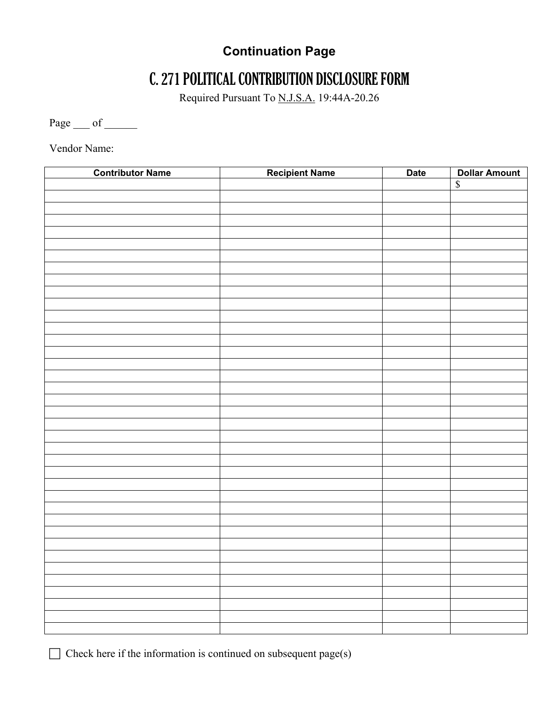#### **Continuation Page**

### **C. 271 POLITICAL CONTRIBUTION DISCLOSURE FORM**

Required Pursuant To N.J.S.A. 19:44A-20.26

Page  $_{\phantom{1}}$  of  $_{\phantom{1}}$ 

Vendor Name:

| Dollar Amount | <b>Contributor Name</b> | <b>Recipient Name</b> | <b>Date</b> |  |
|---------------|-------------------------|-----------------------|-------------|--|
|               |                         |                       |             |  |
|               |                         |                       |             |  |
|               |                         |                       |             |  |
|               |                         |                       |             |  |
|               |                         |                       |             |  |
|               |                         |                       |             |  |
|               |                         |                       |             |  |
|               |                         |                       |             |  |
|               |                         |                       |             |  |
|               |                         |                       |             |  |
|               |                         |                       |             |  |
|               |                         |                       |             |  |
|               |                         |                       |             |  |
|               |                         |                       |             |  |
|               |                         |                       |             |  |
|               |                         |                       |             |  |
|               |                         |                       |             |  |
|               |                         |                       |             |  |
|               |                         |                       |             |  |
|               |                         |                       |             |  |
|               |                         |                       |             |  |
|               |                         |                       |             |  |
|               |                         |                       |             |  |
|               |                         |                       |             |  |
|               |                         |                       |             |  |
|               |                         |                       |             |  |
|               |                         |                       |             |  |
|               |                         |                       |             |  |
|               |                         |                       |             |  |
|               |                         |                       |             |  |
|               |                         |                       |             |  |
|               |                         |                       |             |  |
|               |                         |                       |             |  |
|               |                         |                       |             |  |
|               |                         |                       |             |  |
|               |                         |                       |             |  |
|               |                         |                       |             |  |
|               |                         |                       |             |  |

 $\Box$  Check here if the information is continued on subsequent page(s)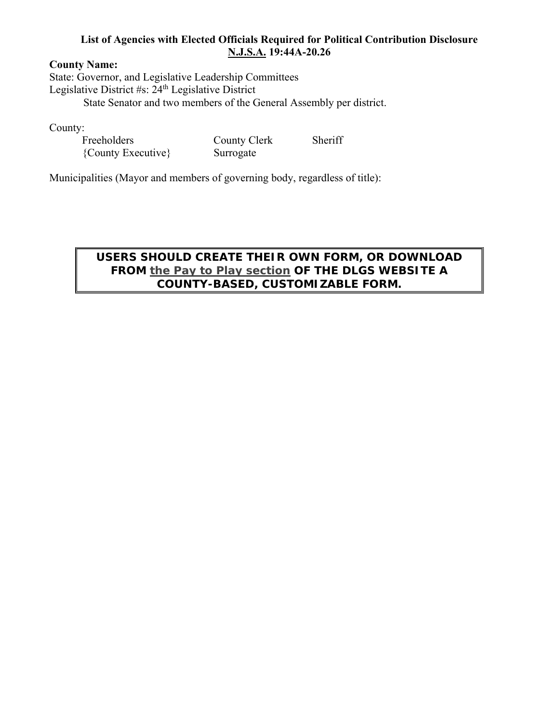#### **List of Agencies with Elected Officials Required for Political Contribution Disclosure N.J.S.A. 19:44A-20.26**

#### **County Name:**

State: Governor, and Legislative Leadership Committees Legislative District #s:  $24<sup>th</sup>$  Legislative District State Senator and two members of the General Assembly per district.

County:

Freeholders County Clerk Sheriff  $\{County\;Exercise\}$  Surrogate

Municipalities (Mayor and members of governing body, regardless of title):

#### **USERS SHOULD CREATE THEIR OWN FORM, OR DOWNLOAD FROM the Pay to Play section OF THE DLGS WEBSITE A COUNTY-BASED, CUSTOMIZABLE FORM.**